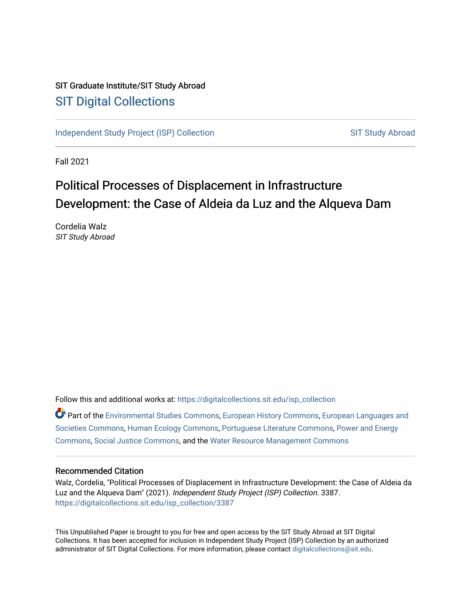## SIT Graduate Institute/SIT Study Abroad [SIT Digital Collections](https://digitalcollections.sit.edu/)

[Independent Study Project \(ISP\) Collection](https://digitalcollections.sit.edu/isp_collection) [SIT Study Abroad](https://digitalcollections.sit.edu/study_abroad) SIT Study Abroad

Fall 2021

## Political Processes of Displacement in Infrastructure Development: the Case of Aldeia da Luz and the Alqueva Dam

Cordelia Walz SIT Study Abroad

Follow this and additional works at: [https://digitalcollections.sit.edu/isp\\_collection](https://digitalcollections.sit.edu/isp_collection?utm_source=digitalcollections.sit.edu%2Fisp_collection%2F3387&utm_medium=PDF&utm_campaign=PDFCoverPages) 

Part of the [Environmental Studies Commons](http://network.bepress.com/hgg/discipline/1333?utm_source=digitalcollections.sit.edu%2Fisp_collection%2F3387&utm_medium=PDF&utm_campaign=PDFCoverPages), [European History Commons](http://network.bepress.com/hgg/discipline/492?utm_source=digitalcollections.sit.edu%2Fisp_collection%2F3387&utm_medium=PDF&utm_campaign=PDFCoverPages), [European Languages and](http://network.bepress.com/hgg/discipline/482?utm_source=digitalcollections.sit.edu%2Fisp_collection%2F3387&utm_medium=PDF&utm_campaign=PDFCoverPages) [Societies Commons](http://network.bepress.com/hgg/discipline/482?utm_source=digitalcollections.sit.edu%2Fisp_collection%2F3387&utm_medium=PDF&utm_campaign=PDFCoverPages), [Human Ecology Commons](http://network.bepress.com/hgg/discipline/1335?utm_source=digitalcollections.sit.edu%2Fisp_collection%2F3387&utm_medium=PDF&utm_campaign=PDFCoverPages), [Portuguese Literature Commons](http://network.bepress.com/hgg/discipline/548?utm_source=digitalcollections.sit.edu%2Fisp_collection%2F3387&utm_medium=PDF&utm_campaign=PDFCoverPages), [Power and Energy](http://network.bepress.com/hgg/discipline/274?utm_source=digitalcollections.sit.edu%2Fisp_collection%2F3387&utm_medium=PDF&utm_campaign=PDFCoverPages)  [Commons](http://network.bepress.com/hgg/discipline/274?utm_source=digitalcollections.sit.edu%2Fisp_collection%2F3387&utm_medium=PDF&utm_campaign=PDFCoverPages), [Social Justice Commons](http://network.bepress.com/hgg/discipline/1432?utm_source=digitalcollections.sit.edu%2Fisp_collection%2F3387&utm_medium=PDF&utm_campaign=PDFCoverPages), and the [Water Resource Management Commons](http://network.bepress.com/hgg/discipline/1057?utm_source=digitalcollections.sit.edu%2Fisp_collection%2F3387&utm_medium=PDF&utm_campaign=PDFCoverPages)

#### Recommended Citation

Walz, Cordelia, "Political Processes of Displacement in Infrastructure Development: the Case of Aldeia da Luz and the Alqueva Dam" (2021). Independent Study Project (ISP) Collection. 3387. [https://digitalcollections.sit.edu/isp\\_collection/3387](https://digitalcollections.sit.edu/isp_collection/3387?utm_source=digitalcollections.sit.edu%2Fisp_collection%2F3387&utm_medium=PDF&utm_campaign=PDFCoverPages) 

This Unpublished Paper is brought to you for free and open access by the SIT Study Abroad at SIT Digital Collections. It has been accepted for inclusion in Independent Study Project (ISP) Collection by an authorized administrator of SIT Digital Collections. For more information, please contact [digitalcollections@sit.edu](mailto:digitalcollections@sit.edu).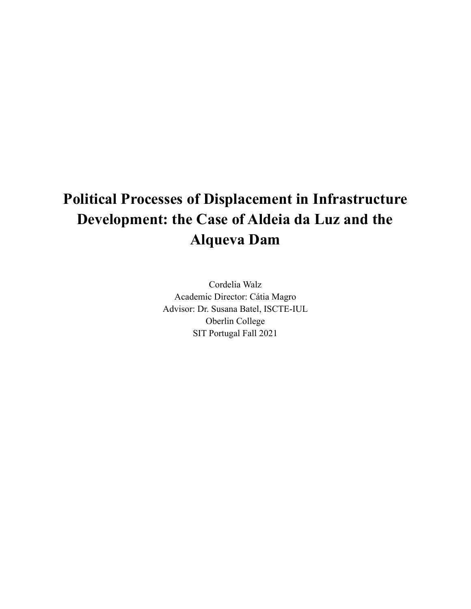# **Political Processes of Displacement in Infrastructure Development: the Case of Aldeia da Luz and the Alqueva Dam**

Cordelia Walz Academic Director: Cátia Magro Advisor: Dr. Susana Batel, ISCTE-IUL Oberlin College SIT Portugal Fall 2021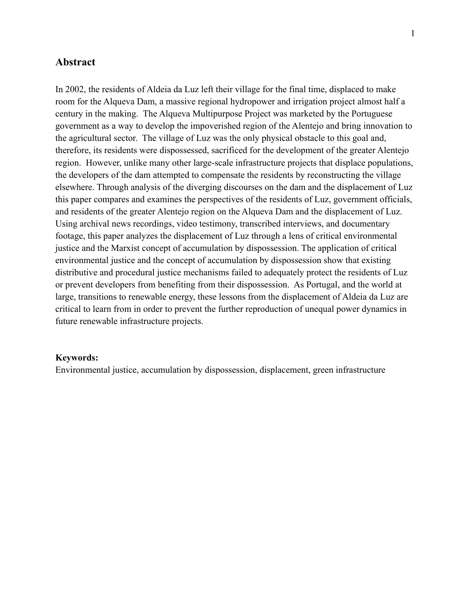#### **Abstract**

In 2002, the residents of Aldeia da Luz left their village for the final time, displaced to make room for the Alqueva Dam, a massive regional hydropower and irrigation project almost half a century in the making. The Alqueva Multipurpose Project was marketed by the Portuguese government as a way to develop the impoverished region of the Alentejo and bring innovation to the agricultural sector. The village of Luz was the only physical obstacle to this goal and, therefore, its residents were dispossessed, sacrificed for the development of the greater Alentejo region. However, unlike many other large-scale infrastructure projects that displace populations, the developers of the dam attempted to compensate the residents by reconstructing the village elsewhere. Through analysis of the diverging discourses on the dam and the displacement of Luz this paper compares and examines the perspectives of the residents of Luz, government officials, and residents of the greater Alentejo region on the Alqueva Dam and the displacement of Luz. Using archival news recordings, video testimony, transcribed interviews, and documentary footage, this paper analyzes the displacement of Luz through a lens of critical environmental justice and the Marxist concept of accumulation by dispossession. The application of critical environmental justice and the concept of accumulation by dispossession show that existing distributive and procedural justice mechanisms failed to adequately protect the residents of Luz or prevent developers from benefiting from their dispossession. As Portugal, and the world at large, transitions to renewable energy, these lessons from the displacement of Aldeia da Luz are critical to learn from in order to prevent the further reproduction of unequal power dynamics in future renewable infrastructure projects.

#### **Keywords:**

Environmental justice, accumulation by dispossession, displacement, green infrastructure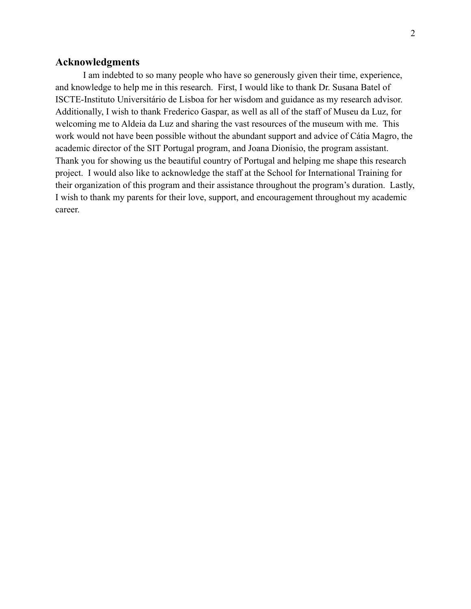#### **Acknowledgments**

I am indebted to so many people who have so generously given their time, experience, and knowledge to help me in this research. First, I would like to thank Dr. Susana Batel of ISCTE-Instituto Universitário de Lisboa for her wisdom and guidance as my research advisor. Additionally, I wish to thank Frederico Gaspar, as well as all of the staff of Museu da Luz, for welcoming me to Aldeia da Luz and sharing the vast resources of the museum with me. This work would not have been possible without the abundant support and advice of Cátia Magro, the academic director of the SIT Portugal program, and Joana Dionísio, the program assistant. Thank you for showing us the beautiful country of Portugal and helping me shape this research project. I would also like to acknowledge the staff at the School for International Training for their organization of this program and their assistance throughout the program's duration. Lastly, I wish to thank my parents for their love, support, and encouragement throughout my academic career.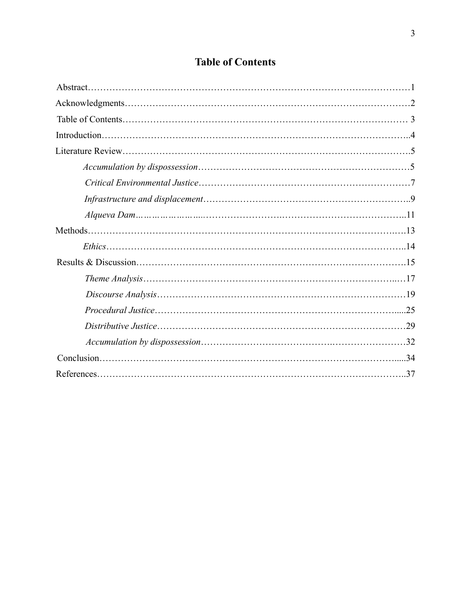## **Table of Contents**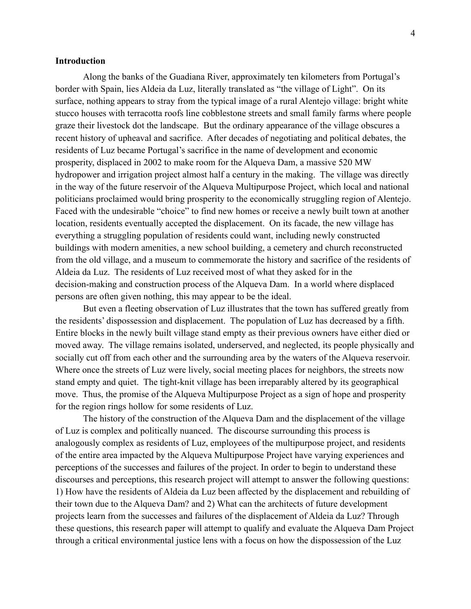#### **Introduction**

Along the banks of the Guadiana River, approximately ten kilometers from Portugal's border with Spain, lies Aldeia da Luz, literally translated as "the village of Light". On its surface, nothing appears to stray from the typical image of a rural Alentejo village: bright white stucco houses with terracotta roofs line cobblestone streets and small family farms where people graze their livestock dot the landscape. But the ordinary appearance of the village obscures a recent history of upheaval and sacrifice. After decades of negotiating and political debates, the residents of Luz became Portugal's sacrifice in the name of development and economic prosperity, displaced in 2002 to make room for the Alqueva Dam, a massive 520 MW hydropower and irrigation project almost half a century in the making. The village was directly in the way of the future reservoir of the Alqueva Multipurpose Project, which local and national politicians proclaimed would bring prosperity to the economically struggling region of Alentejo. Faced with the undesirable "choice" to find new homes or receive a newly built town at another location, residents eventually accepted the displacement. On its facade, the new village has everything a struggling population of residents could want, including newly constructed buildings with modern amenities, a new school building, a cemetery and church reconstructed from the old village, and a museum to commemorate the history and sacrifice of the residents of Aldeia da Luz. The residents of Luz received most of what they asked for in the decision-making and construction process of the Alqueva Dam. In a world where displaced persons are often given nothing, this may appear to be the ideal.

But even a fleeting observation of Luz illustrates that the town has suffered greatly from the residents' dispossession and displacement. The population of Luz has decreased by a fifth. Entire blocks in the newly built village stand empty as their previous owners have either died or moved away. The village remains isolated, underserved, and neglected, its people physically and socially cut off from each other and the surrounding area by the waters of the Alqueva reservoir. Where once the streets of Luz were lively, social meeting places for neighbors, the streets now stand empty and quiet. The tight-knit village has been irreparably altered by its geographical move. Thus, the promise of the Alqueva Multipurpose Project as a sign of hope and prosperity for the region rings hollow for some residents of Luz.

The history of the construction of the Alqueva Dam and the displacement of the village of Luz is complex and politically nuanced. The discourse surrounding this process is analogously complex as residents of Luz, employees of the multipurpose project, and residents of the entire area impacted by the Alqueva Multipurpose Project have varying experiences and perceptions of the successes and failures of the project. In order to begin to understand these discourses and perceptions, this research project will attempt to answer the following questions: 1) How have the residents of Aldeia da Luz been affected by the displacement and rebuilding of their town due to the Alqueva Dam? and 2) What can the architects of future development projects learn from the successes and failures of the displacement of Aldeia da Luz? Through these questions, this research paper will attempt to qualify and evaluate the Alqueva Dam Project through a critical environmental justice lens with a focus on how the dispossession of the Luz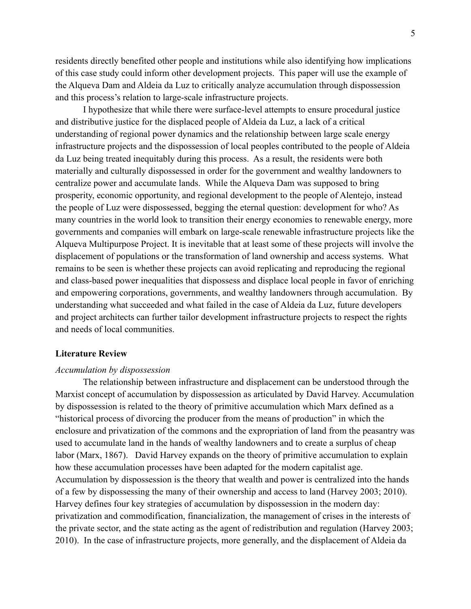residents directly benefited other people and institutions while also identifying how implications of this case study could inform other development projects. This paper will use the example of the Alqueva Dam and Aldeia da Luz to critically analyze accumulation through dispossession and this process's relation to large-scale infrastructure projects.

I hypothesize that while there were surface-level attempts to ensure procedural justice and distributive justice for the displaced people of Aldeia da Luz, a lack of a critical understanding of regional power dynamics and the relationship between large scale energy infrastructure projects and the dispossession of local peoples contributed to the people of Aldeia da Luz being treated inequitably during this process. As a result, the residents were both materially and culturally dispossessed in order for the government and wealthy landowners to centralize power and accumulate lands. While the Alqueva Dam was supposed to bring prosperity, economic opportunity, and regional development to the people of Alentejo, instead the people of Luz were dispossessed, begging the eternal question: development for who? As many countries in the world look to transition their energy economies to renewable energy, more governments and companies will embark on large-scale renewable infrastructure projects like the Alqueva Multipurpose Project. It is inevitable that at least some of these projects will involve the displacement of populations or the transformation of land ownership and access systems. What remains to be seen is whether these projects can avoid replicating and reproducing the regional and class-based power inequalities that dispossess and displace local people in favor of enriching and empowering corporations, governments, and wealthy landowners through accumulation. By understanding what succeeded and what failed in the case of Aldeia da Luz, future developers and project architects can further tailor development infrastructure projects to respect the rights and needs of local communities.

#### **Literature Review**

#### *Accumulation by dispossession*

The relationship between infrastructure and displacement can be understood through the Marxist concept of accumulation by dispossession as articulated by David Harvey. Accumulation by dispossession is related to the theory of primitive accumulation which Marx defined as a "historical process of divorcing the producer from the means of production" in which the enclosure and privatization of the commons and the expropriation of land from the peasantry was used to accumulate land in the hands of wealthy landowners and to create a surplus of cheap labor (Marx, 1867). David Harvey expands on the theory of primitive accumulation to explain how these accumulation processes have been adapted for the modern capitalist age. Accumulation by dispossession is the theory that wealth and power is centralized into the hands of a few by dispossessing the many of their ownership and access to land (Harvey 2003; 2010). Harvey defines four key strategies of accumulation by dispossession in the modern day: privatization and commodification, financialization, the management of crises in the interests of the private sector, and the state acting as the agent of redistribution and regulation (Harvey 2003; 2010). In the case of infrastructure projects, more generally, and the displacement of Aldeia da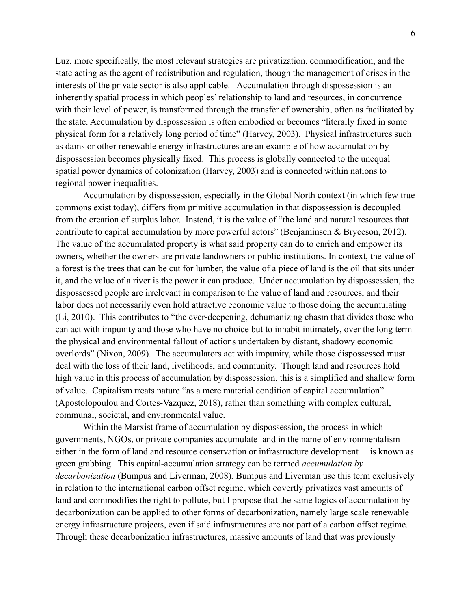Luz, more specifically, the most relevant strategies are privatization, commodification, and the state acting as the agent of redistribution and regulation, though the management of crises in the interests of the private sector is also applicable. Accumulation through dispossession is an inherently spatial process in which peoples' relationship to land and resources, in concurrence with their level of power, is transformed through the transfer of ownership, often as facilitated by the state. Accumulation by dispossession is often embodied or becomes "literally fixed in some physical form for a relatively long period of time" (Harvey, 2003). Physical infrastructures such as dams or other renewable energy infrastructures are an example of how accumulation by dispossession becomes physically fixed. This process is globally connected to the unequal spatial power dynamics of colonization (Harvey, 2003) and is connected within nations to regional power inequalities.

Accumulation by dispossession, especially in the Global North context (in which few true commons exist today), differs from primitive accumulation in that dispossession is decoupled from the creation of surplus labor. Instead, it is the value of "the land and natural resources that contribute to capital accumulation by more powerful actors" (Benjaminsen & Bryceson, 2012). The value of the accumulated property is what said property can do to enrich and empower its owners, whether the owners are private landowners or public institutions. In context, the value of a forest is the trees that can be cut for lumber, the value of a piece of land is the oil that sits under it, and the value of a river is the power it can produce. Under accumulation by dispossession, the dispossessed people are irrelevant in comparison to the value of land and resources, and their labor does not necessarily even hold attractive economic value to those doing the accumulating (Li, 2010). This contributes to "the ever-deepening, dehumanizing chasm that divides those who can act with impunity and those who have no choice but to inhabit intimately, over the long term the physical and environmental fallout of actions undertaken by distant, shadowy economic overlords" (Nixon, 2009). The accumulators act with impunity, while those dispossessed must deal with the loss of their land, livelihoods, and community. Though land and resources hold high value in this process of accumulation by dispossession, this is a simplified and shallow form of value. Capitalism treats nature "as a mere material condition of capital accumulation" (Apostolopoulou and Cortes-Vazquez, 2018), rather than something with complex cultural, communal, societal, and environmental value.

Within the Marxist frame of accumulation by dispossession, the process in which governments, NGOs, or private companies accumulate land in the name of environmentalism–– either in the form of land and resource conservation or infrastructure development— is known as green grabbing. This capital-accumulation strategy can be termed *accumulation by decarbonization* (Bumpus and Liverman, 2008)*.* Bumpus and Liverman use this term exclusively in relation to the international carbon offset regime, which covertly privatizes vast amounts of land and commodifies the right to pollute, but I propose that the same logics of accumulation by decarbonization can be applied to other forms of decarbonization, namely large scale renewable energy infrastructure projects, even if said infrastructures are not part of a carbon offset regime. Through these decarbonization infrastructures, massive amounts of land that was previously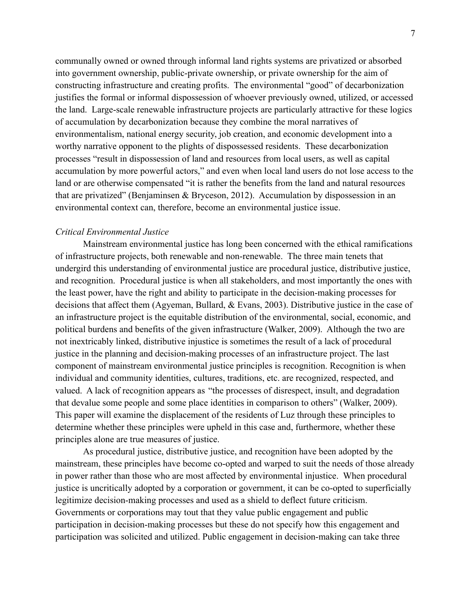communally owned or owned through informal land rights systems are privatized or absorbed into government ownership, public-private ownership, or private ownership for the aim of constructing infrastructure and creating profits. The environmental "good" of decarbonization justifies the formal or informal dispossession of whoever previously owned, utilized, or accessed the land. Large-scale renewable infrastructure projects are particularly attractive for these logics of accumulation by decarbonization because they combine the moral narratives of environmentalism, national energy security, job creation, and economic development into a worthy narrative opponent to the plights of dispossessed residents. These decarbonization processes "result in dispossession of land and resources from local users, as well as capital accumulation by more powerful actors," and even when local land users do not lose access to the land or are otherwise compensated "it is rather the benefits from the land and natural resources that are privatized" (Benjaminsen & Bryceson, 2012). Accumulation by dispossession in an environmental context can, therefore, become an environmental justice issue.

#### *Critical Environmental Justice*

Mainstream environmental justice has long been concerned with the ethical ramifications of infrastructure projects, both renewable and non-renewable. The three main tenets that undergird this understanding of environmental justice are procedural justice, distributive justice, and recognition. Procedural justice is when all stakeholders, and most importantly the ones with the least power, have the right and ability to participate in the decision-making processes for decisions that affect them (Agyeman, Bullard, & Evans, 2003). Distributive justice in the case of an infrastructure project is the equitable distribution of the environmental, social, economic, and political burdens and benefits of the given infrastructure (Walker, 2009). Although the two are not inextricably linked, distributive injustice is sometimes the result of a lack of procedural justice in the planning and decision-making processes of an infrastructure project. The last component of mainstream environmental justice principles is recognition. Recognition is when individual and community identities, cultures, traditions, etc. are recognized, respected, and valued. A lack of recognition appears as "the processes of disrespect, insult, and degradation that devalue some people and some place identities in comparison to others" (Walker, 2009). This paper will examine the displacement of the residents of Luz through these principles to determine whether these principles were upheld in this case and, furthermore, whether these principles alone are true measures of justice.

As procedural justice, distributive justice, and recognition have been adopted by the mainstream, these principles have become co-opted and warped to suit the needs of those already in power rather than those who are most affected by environmental injustice. When procedural justice is uncritically adopted by a corporation or government, it can be co-opted to superficially legitimize decision-making processes and used as a shield to deflect future criticism. Governments or corporations may tout that they value public engagement and public participation in decision-making processes but these do not specify how this engagement and participation was solicited and utilized. Public engagement in decision-making can take three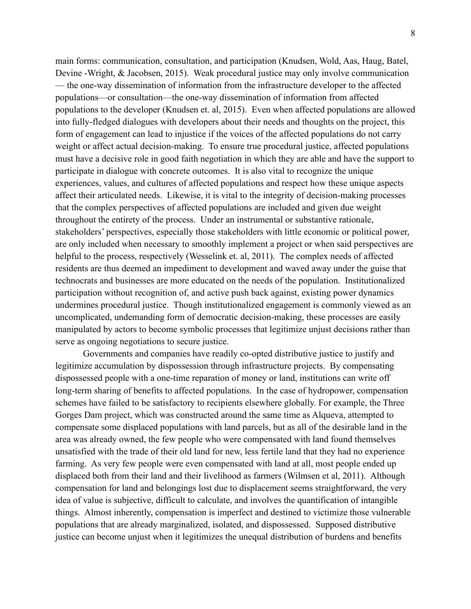main forms: communication, consultation, and participation (Knudsen, Wold, Aas, Haug, Batel, Devine -Wright, & Jacobsen, 2015). Weak procedural justice may only involve communication — the one-way dissemination of information from the infrastructure developer to the affected populations—or consultation—the one-way dissemination of information from affected populations to the developer (Knudsen et. al, 2015). Even when affected populations are allowed into fully-fledged dialogues with developers about their needs and thoughts on the project, this form of engagement can lead to injustice if the voices of the affected populations do not carry weight or affect actual decision-making. To ensure true procedural justice, affected populations must have a decisive role in good faith negotiation in which they are able and have the support to participate in dialogue with concrete outcomes. It is also vital to recognize the unique experiences, values, and cultures of affected populations and respect how these unique aspects affect their articulated needs. Likewise, it is vital to the integrity of decision-making processes that the complex perspectives of affected populations are included and given due weight throughout the entirety of the process. Under an instrumental or substantive rationale, stakeholders' perspectives, especially those stakeholders with little economic or political power, are only included when necessary to smoothly implement a project or when said perspectives are helpful to the process, respectively (Wesselink et. al, 2011). The complex needs of affected residents are thus deemed an impediment to development and waved away under the guise that technocrats and businesses are more educated on the needs of the population. Institutionalized participation without recognition of, and active push back against, existing power dynamics undermines procedural justice. Though institutionalized engagement is commonly viewed as an uncomplicated, undemanding form of democratic decision-making, these processes are easily manipulated by actors to become symbolic processes that legitimize unjust decisions rather than serve as ongoing negotiations to secure justice.

Governments and companies have readily co-opted distributive justice to justify and legitimize accumulation by dispossession through infrastructure projects. By compensating dispossessed people with a one-time reparation of money or land, institutions can write off long-term sharing of benefits to affected populations. In the case of hydropower, compensation schemes have failed to be satisfactory to recipients elsewhere globally. For example, the Three Gorges Dam project, which was constructed around the same time as Alqueva, attempted to compensate some displaced populations with land parcels, but as all of the desirable land in the area was already owned, the few people who were compensated with land found themselves unsatisfied with the trade of their old land for new, less fertile land that they had no experience farming. As very few people were even compensated with land at all, most people ended up displaced both from their land and their livelihood as farmers (Wilmsen et al, 2011). Although compensation for land and belongings lost due to displacement seems straightforward, the very idea of value is subjective, difficult to calculate, and involves the quantification of intangible things. Almost inherently, compensation is imperfect and destined to victimize those vulnerable populations that are already marginalized, isolated, and dispossessed. Supposed distributive justice can become unjust when it legitimizes the unequal distribution of burdens and benefits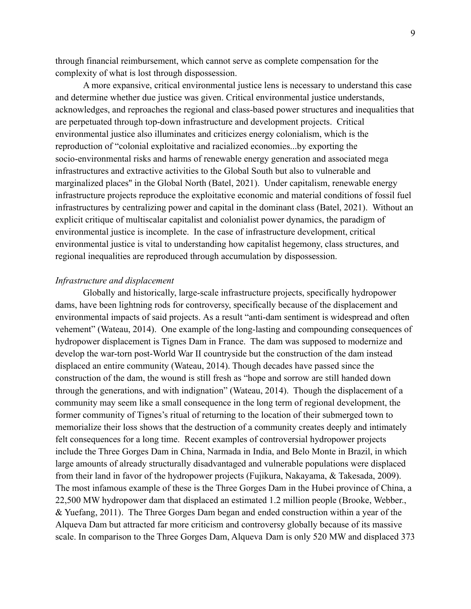through financial reimbursement, which cannot serve as complete compensation for the complexity of what is lost through dispossession.

A more expansive, critical environmental justice lens is necessary to understand this case and determine whether due justice was given. Critical environmental justice understands, acknowledges, and reproaches the regional and class-based power structures and inequalities that are perpetuated through top-down infrastructure and development projects. Critical environmental justice also illuminates and criticizes energy colonialism, which is the reproduction of "colonial exploitative and racialized economies...by exporting the socio-environmental risks and harms of renewable energy generation and associated mega infrastructures and extractive activities to the Global South but also to vulnerable and marginalized places'' in the Global North (Batel, 2021). Under capitalism, renewable energy infrastructure projects reproduce the exploitative economic and material conditions of fossil fuel infrastructures by centralizing power and capital in the dominant class (Batel, 2021). Without an explicit critique of multiscalar capitalist and colonialist power dynamics, the paradigm of environmental justice is incomplete. In the case of infrastructure development, critical environmental justice is vital to understanding how capitalist hegemony, class structures, and regional inequalities are reproduced through accumulation by dispossession.

#### *Infrastructure and displacement*

Globally and historically, large-scale infrastructure projects, specifically hydropower dams, have been lightning rods for controversy, specifically because of the displacement and environmental impacts of said projects. As a result "anti-dam sentiment is widespread and often vehement" (Wateau, 2014). One example of the long-lasting and compounding consequences of hydropower displacement is Tignes Dam in France. The dam was supposed to modernize and develop the war-torn post-World War II countryside but the construction of the dam instead displaced an entire community (Wateau, 2014). Though decades have passed since the construction of the dam, the wound is still fresh as "hope and sorrow are still handed down through the generations, and with indignation" (Wateau, 2014). Though the displacement of a community may seem like a small consequence in the long term of regional development, the former community of Tignes's ritual of returning to the location of their submerged town to memorialize their loss shows that the destruction of a community creates deeply and intimately felt consequences for a long time. Recent examples of controversial hydropower projects include the Three Gorges Dam in China, Narmada in India, and Belo Monte in Brazil, in which large amounts of already structurally disadvantaged and vulnerable populations were displaced from their land in favor of the hydropower projects (Fujikura, Nakayama, & Takesada, 2009). The most infamous example of these is the Three Gorges Dam in the Hubei province of China, a 22,500 MW hydropower dam that displaced an estimated 1.2 million people (Brooke, Webber., & Yuefang, 2011). The Three Gorges Dam began and ended construction within a year of the Alqueva Dam but attracted far more criticism and controversy globally because of its massive scale. In comparison to the Three Gorges Dam, Alqueva Dam is only 520 MW and displaced 373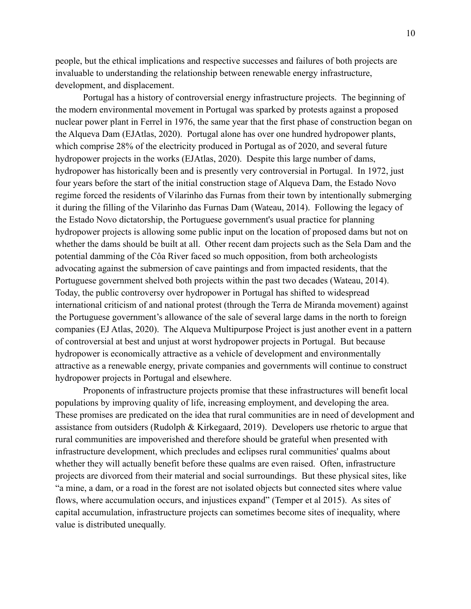people, but the ethical implications and respective successes and failures of both projects are invaluable to understanding the relationship between renewable energy infrastructure, development, and displacement.

Portugal has a history of controversial energy infrastructure projects. The beginning of the modern environmental movement in Portugal was sparked by protests against a proposed nuclear power plant in Ferrel in 1976, the same year that the first phase of construction began on the Alqueva Dam (EJAtlas, 2020). Portugal alone has over one hundred hydropower plants, which comprise 28% of the electricity produced in Portugal as of 2020, and several future hydropower projects in the works (EJAtlas, 2020). Despite this large number of dams, hydropower has historically been and is presently very controversial in Portugal. In 1972, just four years before the start of the initial construction stage of Alqueva Dam, the Estado Novo regime forced the residents of Vilarinho das Furnas from their town by intentionally submerging it during the filling of the Vilarinho das Furnas Dam (Wateau, 2014). Following the legacy of the Estado Novo dictatorship, the Portuguese government's usual practice for planning hydropower projects is allowing some public input on the location of proposed dams but not on whether the dams should be built at all. Other recent dam projects such as the Sela Dam and the potential damming of the Côa River faced so much opposition, from both archeologists advocating against the submersion of cave paintings and from impacted residents, that the Portuguese government shelved both projects within the past two decades (Wateau, 2014). Today, the public controversy over hydropower in Portugal has shifted to widespread international criticism of and national protest (through the Terra de Miranda movement) against the Portuguese government's allowance of the sale of several large dams in the north to foreign companies (EJ Atlas, 2020). The Alqueva Multipurpose Project is just another event in a pattern of controversial at best and unjust at worst hydropower projects in Portugal. But because hydropower is economically attractive as a vehicle of development and environmentally attractive as a renewable energy, private companies and governments will continue to construct hydropower projects in Portugal and elsewhere.

Proponents of infrastructure projects promise that these infrastructures will benefit local populations by improving quality of life, increasing employment, and developing the area. These promises are predicated on the idea that rural communities are in need of development and assistance from outsiders (Rudolph & Kirkegaard, 2019). Developers use rhetoric to argue that rural communities are impoverished and therefore should be grateful when presented with infrastructure development, which precludes and eclipses rural communities' qualms about whether they will actually benefit before these qualms are even raised. Often, infrastructure projects are divorced from their material and social surroundings. But these physical sites, like "a mine, a dam, or a road in the forest are not isolated objects but connected sites where value flows, where accumulation occurs, and injustices expand" (Temper et al 2015). As sites of capital accumulation, infrastructure projects can sometimes become sites of inequality, where value is distributed unequally.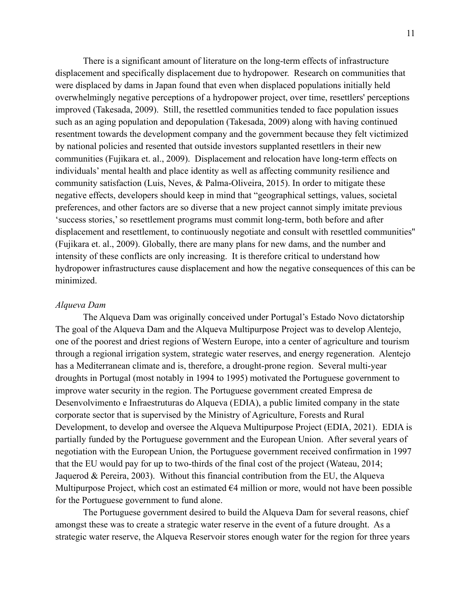There is a significant amount of literature on the long-term effects of infrastructure displacement and specifically displacement due to hydropower. Research on communities that were displaced by dams in Japan found that even when displaced populations initially held overwhelmingly negative perceptions of a hydropower project, over time, resettlers' perceptions improved (Takesada, 2009). Still, the resettled communities tended to face population issues such as an aging population and depopulation (Takesada, 2009) along with having continued resentment towards the development company and the government because they felt victimized by national policies and resented that outside investors supplanted resettlers in their new communities (Fujikara et. al., 2009). Displacement and relocation have long-term effects on individuals' mental health and place identity as well as affecting community resilience and community satisfaction (Luis, Neves, & Palma-Oliveira, 2015). In order to mitigate these negative effects, developers should keep in mind that "geographical settings, values, societal preferences, and other factors are so diverse that a new project cannot simply imitate previous 'success stories,' so resettlement programs must commit long-term, both before and after displacement and resettlement, to continuously negotiate and consult with resettled communities'' (Fujikara et. al., 2009). Globally, there are many plans for new dams, and the number and intensity of these conflicts are only increasing. It is therefore critical to understand how hydropower infrastructures cause displacement and how the negative consequences of this can be minimized.

#### *Alqueva Dam*

The Alqueva Dam was originally conceived under Portugal's Estado Novo dictatorship The goal of the Alqueva Dam and the Alqueva Multipurpose Project was to develop Alentejo, one of the poorest and driest regions of Western Europe, into a center of agriculture and tourism through a regional irrigation system, strategic water reserves, and energy regeneration. Alentejo has a Mediterranean climate and is, therefore, a drought-prone region. Several multi-year droughts in Portugal (most notably in 1994 to 1995) motivated the Portuguese government to improve water security in the region. The Portuguese government created Empresa de Desenvolvimento e Infraestruturas do Alqueva (EDIA), a public limited company in the state corporate sector that is supervised by the Ministry of Agriculture, Forests and Rural Development, to develop and oversee the Alqueva Multipurpose Project (EDIA, 2021). EDIA is partially funded by the Portuguese government and the European Union. After several years of negotiation with the European Union, the Portuguese government received confirmation in 1997 that the EU would pay for up to two-thirds of the final cost of the project (Wateau, 2014; Jaquerod & Pereira, 2003). Without this financial contribution from the EU, the Alqueva Multipurpose Project, which cost an estimated  $\epsilon$ 4 million or more, would not have been possible for the Portuguese government to fund alone.

The Portuguese government desired to build the Alqueva Dam for several reasons, chief amongst these was to create a strategic water reserve in the event of a future drought. As a strategic water reserve, the Alqueva Reservoir stores enough water for the region for three years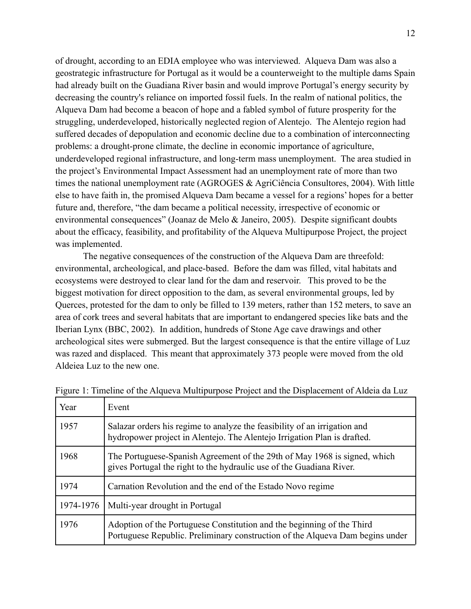of drought, according to an EDIA employee who was interviewed. Alqueva Dam was also a geostrategic infrastructure for Portugal as it would be a counterweight to the multiple dams Spain had already built on the Guadiana River basin and would improve Portugal's energy security by decreasing the country's reliance on imported fossil fuels. In the realm of national politics, the Alqueva Dam had become a beacon of hope and a fabled symbol of future prosperity for the struggling, underdeveloped, historically neglected region of Alentejo. The Alentejo region had suffered decades of depopulation and economic decline due to a combination of interconnecting problems: a drought-prone climate, the decline in economic importance of agriculture, underdeveloped regional infrastructure, and long-term mass unemployment. The area studied in the project's Environmental Impact Assessment had an unemployment rate of more than two times the national unemployment rate (AGROGES & AgriCiência Consultores, 2004). With little else to have faith in, the promised Alqueva Dam became a vessel for a regions' hopes for a better future and, therefore, "the dam became a political necessity, irrespective of economic or environmental consequences" (Joanaz de Melo & Janeiro, 2005). Despite significant doubts about the efficacy, feasibility, and profitability of the Alqueva Multipurpose Project, the project was implemented.

The negative consequences of the construction of the Alqueva Dam are threefold: environmental, archeological, and place-based. Before the dam was filled, vital habitats and ecosystems were destroyed to clear land for the dam and reservoir. This proved to be the biggest motivation for direct opposition to the dam, as several environmental groups, led by Querces, protested for the dam to only be filled to 139 meters, rather than 152 meters, to save an area of cork trees and several habitats that are important to endangered species like bats and the Iberian Lynx (BBC, 2002). In addition, hundreds of Stone Age cave drawings and other archeological sites were submerged. But the largest consequence is that the entire village of Luz was razed and displaced. This meant that approximately 373 people were moved from the old Aldeiea Luz to the new one.

| Year      | Event                                                                                                                                                   |  |  |
|-----------|---------------------------------------------------------------------------------------------------------------------------------------------------------|--|--|
| 1957      | Salazar orders his regime to analyze the feasibility of an irrigation and<br>hydropower project in Alentejo. The Alentejo Irrigation Plan is drafted.   |  |  |
| 1968      | The Portuguese-Spanish Agreement of the 29th of May 1968 is signed, which<br>gives Portugal the right to the hydraulic use of the Guadiana River.       |  |  |
| 1974      | Carnation Revolution and the end of the Estado Novo regime                                                                                              |  |  |
| 1974-1976 | Multi-year drought in Portugal                                                                                                                          |  |  |
| 1976      | Adoption of the Portuguese Constitution and the beginning of the Third<br>Portuguese Republic. Preliminary construction of the Alqueva Dam begins under |  |  |

Figure 1: Timeline of the Alqueva Multipurpose Project and the Displacement of Aldeia da Luz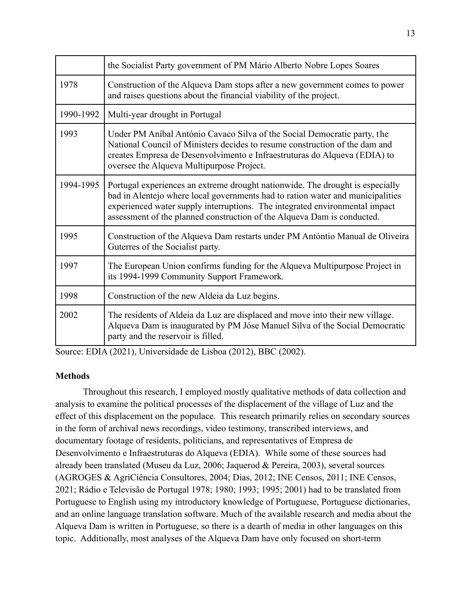|           | the Socialist Party government of PM Mário Alberto Nobre Lopes Soares                                                                                                                                                                                                                                                     |  |  |
|-----------|---------------------------------------------------------------------------------------------------------------------------------------------------------------------------------------------------------------------------------------------------------------------------------------------------------------------------|--|--|
| 1978      | Construction of the Alqueva Dam stops after a new government comes to power<br>and raises questions about the financial viability of the project.                                                                                                                                                                         |  |  |
| 1990-1992 | Multi-year drought in Portugal                                                                                                                                                                                                                                                                                            |  |  |
| 1993      | Under PM Aníbal António Cavaco Silva of the Social Democratic party, the<br>National Council of Ministers decides to resume construction of the dam and<br>creates Empresa de Desenvolvimento e Infraestruturas do Alqueva (EDIA) to<br>oversee the Alqueva Multipurpose Project.                                         |  |  |
| 1994-1995 | Portugal experiences an extreme drought nationwide. The drought is especially<br>bad in Alentejo where local governments had to ration water and municipalities<br>experienced water supply interruptions. The integrated environmental impact<br>assessment of the planned construction of the Alqueva Dam is conducted. |  |  |
| 1995      | Construction of the Alqueva Dam restarts under PM Antóntio Manual de Oliveira<br>Guterres of the Socialist party.                                                                                                                                                                                                         |  |  |
| 1997      | The European Union confirms funding for the Alqueva Multipurpose Project in<br>its 1994-1999 Community Support Framework.                                                                                                                                                                                                 |  |  |
| 1998      | Construction of the new Aldeia da Luz begins.                                                                                                                                                                                                                                                                             |  |  |
| 2002      | The residents of Aldeia da Luz are displaced and move into their new village.<br>Alqueva Dam is inaugurated by PM Jóse Manuel Silva of the Social Democratic<br>party and the reservoir is filled.                                                                                                                        |  |  |

Source: EDIA (2021), Universidade de Lisboa (2012), BBC (2002).

#### **Methods**

Throughout this research, I employed mostly qualitative methods of data collection and analysis to examine the political processes of the displacement of the village of Luz and the effect of this displacement on the populace. This research primarily relies on secondary sources in the form of archival news recordings, video testimony, transcribed interviews, and documentary footage of residents, politicians, and representatives of Empresa de Desenvolvimento e Infraestruturas do Alqueva (EDIA). While some of these sources had already been translated (Museu da Luz, 2006; Jaquerod & Pereira, 2003), several sources (AGROGES & AgriCiência Consultores, 2004; Dias, 2012; INE Censos, 2011; INE Censos, 2021; Rádio e Televisão de Portugal 1978; 1980; 1993; 1995; 2001) had to be translated from Portuguese to English using my introductory knowledge of Portuguese, Portuguese dictionaries, and an online language translation software. Much of the available research and media about the Alqueva Dam is written in Portuguese, so there is a dearth of media in other languages on this topic. Additionally, most analyses of the Alqueva Dam have only focused on short-term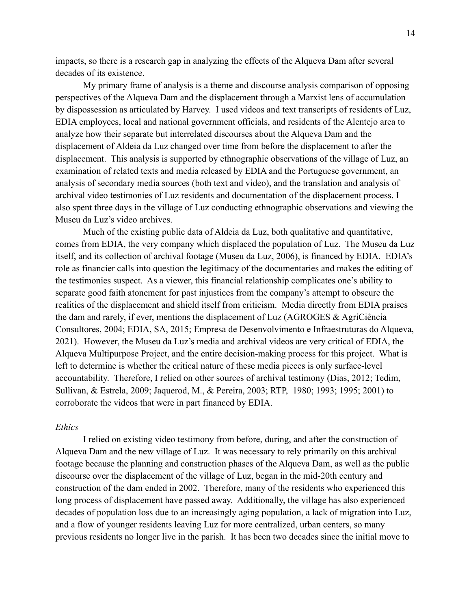impacts, so there is a research gap in analyzing the effects of the Alqueva Dam after several decades of its existence.

My primary frame of analysis is a theme and discourse analysis comparison of opposing perspectives of the Alqueva Dam and the displacement through a Marxist lens of accumulation by dispossession as articulated by Harvey. I used videos and text transcripts of residents of Luz, EDIA employees, local and national government officials, and residents of the Alentejo area to analyze how their separate but interrelated discourses about the Alqueva Dam and the displacement of Aldeia da Luz changed over time from before the displacement to after the displacement. This analysis is supported by ethnographic observations of the village of Luz, an examination of related texts and media released by EDIA and the Portuguese government, an analysis of secondary media sources (both text and video), and the translation and analysis of archival video testimonies of Luz residents and documentation of the displacement process. I also spent three days in the village of Luz conducting ethnographic observations and viewing the Museu da Luz's video archives.

Much of the existing public data of Aldeia da Luz, both qualitative and quantitative, comes from EDIA, the very company which displaced the population of Luz. The Museu da Luz itself, and its collection of archival footage (Museu da Luz, 2006), is financed by EDIA. EDIA's role as financier calls into question the legitimacy of the documentaries and makes the editing of the testimonies suspect. As a viewer, this financial relationship complicates one's ability to separate good faith atonement for past injustices from the company's attempt to obscure the realities of the displacement and shield itself from criticism. Media directly from EDIA praises the dam and rarely, if ever, mentions the displacement of Luz (AGROGES & AgriCiência Consultores, 2004; EDIA, SA, 2015; Empresa de Desenvolvimento e Infraestruturas do Alqueva, 2021). However, the Museu da Luz's media and archival videos are very critical of EDIA, the Alqueva Multipurpose Project, and the entire decision-making process for this project. What is left to determine is whether the critical nature of these media pieces is only surface-level accountability. Therefore, I relied on other sources of archival testimony (Dias, 2012; Tedim, Sullivan, & Estrela, 2009; Jaquerod, M., & Pereira, 2003; RTP, 1980; 1993; 1995; 2001) to corroborate the videos that were in part financed by EDIA.

#### *Ethics*

I relied on existing video testimony from before, during, and after the construction of Alqueva Dam and the new village of Luz. It was necessary to rely primarily on this archival footage because the planning and construction phases of the Alqueva Dam, as well as the public discourse over the displacement of the village of Luz, began in the mid-20th century and construction of the dam ended in 2002. Therefore, many of the residents who experienced this long process of displacement have passed away. Additionally, the village has also experienced decades of population loss due to an increasingly aging population, a lack of migration into Luz, and a flow of younger residents leaving Luz for more centralized, urban centers, so many previous residents no longer live in the parish. It has been two decades since the initial move to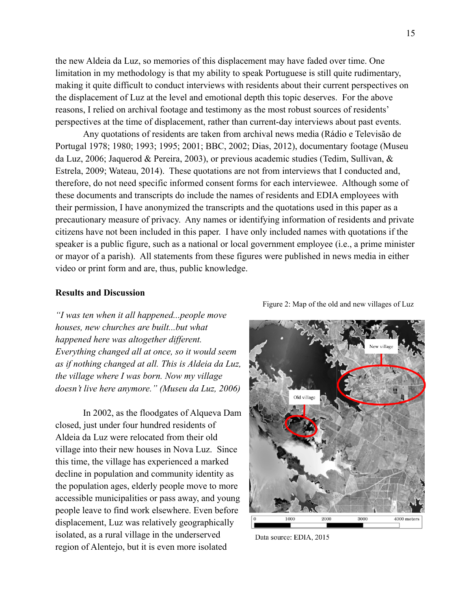the new Aldeia da Luz, so memories of this displacement may have faded over time. One limitation in my methodology is that my ability to speak Portuguese is still quite rudimentary, making it quite difficult to conduct interviews with residents about their current perspectives on the displacement of Luz at the level and emotional depth this topic deserves. For the above reasons, I relied on archival footage and testimony as the most robust sources of residents' perspectives at the time of displacement, rather than current-day interviews about past events.

Any quotations of residents are taken from archival news media (Rádio e Televisão de Portugal 1978; 1980; 1993; 1995; 2001; BBC, 2002; Dias, 2012), documentary footage (Museu da Luz, 2006; Jaquerod & Pereira, 2003), or previous academic studies (Tedim, Sullivan, & Estrela, 2009; Wateau, 2014). These quotations are not from interviews that I conducted and, therefore, do not need specific informed consent forms for each interviewee. Although some of these documents and transcripts do include the names of residents and EDIA employees with their permission, I have anonymized the transcripts and the quotations used in this paper as a precautionary measure of privacy. Any names or identifying information of residents and private citizens have not been included in this paper. I have only included names with quotations if the speaker is a public figure, such as a national or local government employee (i.e., a prime minister or mayor of a parish). All statements from these figures were published in news media in either video or print form and are, thus, public knowledge.

#### **Results and Discussion**

*"I was ten when it all happened...people move houses, new churches are built...but what happened here was altogether different. Everything changed all at once, so it would seem as if nothing changed at all. This is Aldeia da Luz, the village where I was born. Now my village doesn't live here anymore." (Museu da Luz, 2006)*

In 2002, as the floodgates of Alqueva Dam closed, just under four hundred residents of Aldeia da Luz were relocated from their old village into their new houses in Nova Luz. Since this time, the village has experienced a marked decline in population and community identity as the population ages, elderly people move to more accessible municipalities or pass away, and young people leave to find work elsewhere. Even before displacement, Luz was relatively geographically isolated, as a rural village in the underserved region of Alentejo, but it is even more isolated

Figure 2: Map of the old and new villages of Luz



Data source: EDIA, 2015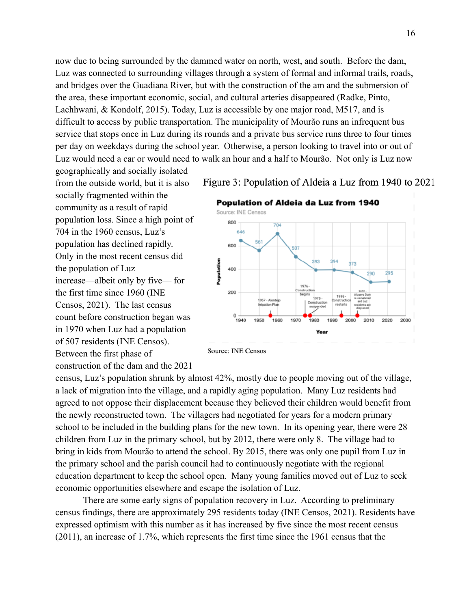now due to being surrounded by the dammed water on north, west, and south. Before the dam, Luz was connected to surrounding villages through a system of formal and informal trails, roads, and bridges over the Guadiana River, but with the construction of the am and the submersion of the area, these important economic, social, and cultural arteries disappeared (Radke, Pinto, Lachhwani, & Kondolf, 2015). Today, Luz is accessible by one major road, M517, and is difficult to access by public transportation. The municipality of Mourão runs an infrequent bus service that stops once in Luz during its rounds and a private bus service runs three to four times per day on weekdays during the school year. Otherwise, a person looking to travel into or out of Luz would need a car or would need to walk an hour and a half to Mourão. Not only is Luz now

geographically and socially isolated from the outside world, but it is also socially fragmented within the community as a result of rapid population loss. Since a high point of 704 in the 1960 census, Luz's population has declined rapidly. Only in the most recent census did the population of Luz increase—albeit only by five— for the first time since 1960 (INE Censos, 2021). The last census count before construction began was in 1970 when Luz had a population of 507 residents (INE Censos). Between the first phase of construction of the dam and the 2021

Figure 3: Population of Aldeia a Luz from 1940 to 2021



**Source: INE Censos** 

census, Luz's population shrunk by almost 42%, mostly due to people moving out of the village, a lack of migration into the village, and a rapidly aging population. Many Luz residents had agreed to not oppose their displacement because they believed their children would benefit from the newly reconstructed town. The villagers had negotiated for years for a modern primary school to be included in the building plans for the new town. In its opening year, there were 28 children from Luz in the primary school, but by 2012, there were only 8. The village had to bring in kids from Mourão to attend the school. By 2015, there was only one pupil from Luz in the primary school and the parish council had to continuously negotiate with the regional education department to keep the school open. Many young families moved out of Luz to seek economic opportunities elsewhere and escape the isolation of Luz.

There are some early signs of population recovery in Luz. According to preliminary census findings, there are approximately 295 residents today (INE Censos, 2021). Residents have expressed optimism with this number as it has increased by five since the most recent census (2011), an increase of 1.7%, which represents the first time since the 1961 census that the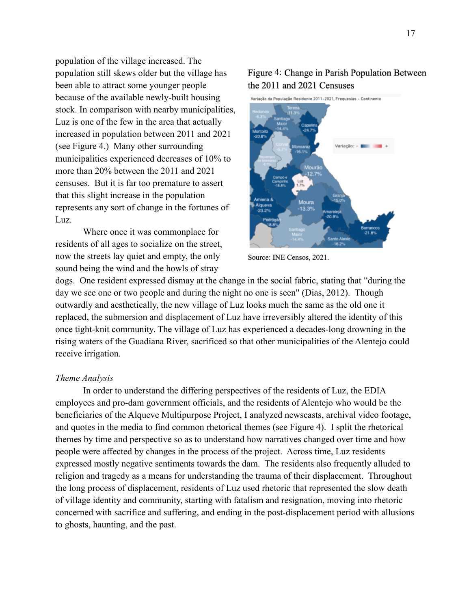population of the village increased. The population still skews older but the village has been able to attract some younger people because of the available newly-built housing stock. In comparison with nearby municipalities, Luz is one of the few in the area that actually increased in population between 2011 and 2021 (see Figure 4.) Many other surrounding municipalities experienced decreases of 10% to more than 20% between the 2011 and 2021 censuses. But it is far too premature to assert that this slight increase in the population represents any sort of change in the fortunes of Luz.

Where once it was commonplace for residents of all ages to socialize on the street, now the streets lay quiet and empty, the only sound being the wind and the howls of stray

### Figure 4: Change in Parish Population Between the 2011 and 2021 Censuses



Source: INE Censos, 2021.

dogs. One resident expressed dismay at the change in the social fabric, stating that "during the day we see one or two people and during the night no one is seen" (Dias, 2012). Though outwardly and aesthetically, the new village of Luz looks much the same as the old one it replaced, the submersion and displacement of Luz have irreversibly altered the identity of this once tight-knit community. The village of Luz has experienced a decades-long drowning in the rising waters of the Guadiana River, sacrificed so that other municipalities of the Alentejo could receive irrigation.

#### *Theme Analysis*

In order to understand the differing perspectives of the residents of Luz, the EDIA employees and pro-dam government officials, and the residents of Alentejo who would be the beneficiaries of the Alqueve Multipurpose Project, I analyzed newscasts, archival video footage, and quotes in the media to find common rhetorical themes (see Figure 4). I split the rhetorical themes by time and perspective so as to understand how narratives changed over time and how people were affected by changes in the process of the project. Across time, Luz residents expressed mostly negative sentiments towards the dam. The residents also frequently alluded to religion and tragedy as a means for understanding the trauma of their displacement. Throughout the long process of displacement, residents of Luz used rhetoric that represented the slow death of village identity and community, starting with fatalism and resignation, moving into rhetoric concerned with sacrifice and suffering, and ending in the post-displacement period with allusions to ghosts, haunting, and the past.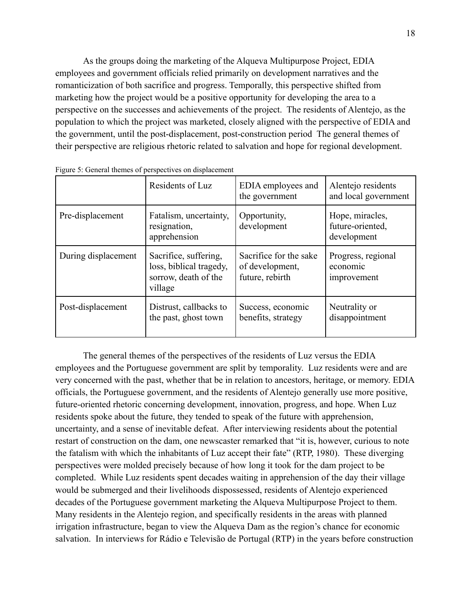As the groups doing the marketing of the Alqueva Multipurpose Project, EDIA employees and government officials relied primarily on development narratives and the romanticization of both sacrifice and progress. Temporally, this perspective shifted from marketing how the project would be a positive opportunity for developing the area to a perspective on the successes and achievements of the project. The residents of Alentejo, as the population to which the project was marketed, closely aligned with the perspective of EDIA and the government, until the post-displacement, post-construction period The general themes of their perspective are religious rhetoric related to salvation and hope for regional development.

|                     | Residents of Luz                                                                    | EDIA employees and<br>the government                         | Alentejo residents<br>and local government         |
|---------------------|-------------------------------------------------------------------------------------|--------------------------------------------------------------|----------------------------------------------------|
| Pre-displacement    | Fatalism, uncertainty,<br>resignation,<br>apprehension                              | Opportunity,<br>development                                  | Hope, miracles,<br>future-oriented,<br>development |
| During displacement | Sacrifice, suffering,<br>loss, biblical tragedy,<br>sorrow, death of the<br>village | Sacrifice for the sake<br>of development,<br>future, rebirth | Progress, regional<br>economic<br>improvement      |
| Post-displacement   | Distrust, callbacks to<br>the past, ghost town                                      | Success, economic<br>benefits, strategy                      | Neutrality or<br>disappointment                    |

Figure 5: General themes of perspectives on displacement

The general themes of the perspectives of the residents of Luz versus the EDIA employees and the Portuguese government are split by temporality. Luz residents were and are very concerned with the past, whether that be in relation to ancestors, heritage, or memory. EDIA officials, the Portuguese government, and the residents of Alentejo generally use more positive, future-oriented rhetoric concerning development, innovation, progress, and hope. When Luz residents spoke about the future, they tended to speak of the future with apprehension, uncertainty, and a sense of inevitable defeat. After interviewing residents about the potential restart of construction on the dam, one newscaster remarked that "it is, however, curious to note the fatalism with which the inhabitants of Luz accept their fate" (RTP, 1980). These diverging perspectives were molded precisely because of how long it took for the dam project to be completed. While Luz residents spent decades waiting in apprehension of the day their village would be submerged and their livelihoods dispossessed, residents of Alentejo experienced decades of the Portuguese government marketing the Alqueva Multipurpose Project to them. Many residents in the Alentejo region, and specifically residents in the areas with planned irrigation infrastructure, began to view the Alqueva Dam as the region's chance for economic salvation. In interviews for Rádio e Televisão de Portugal (RTP) in the years before construction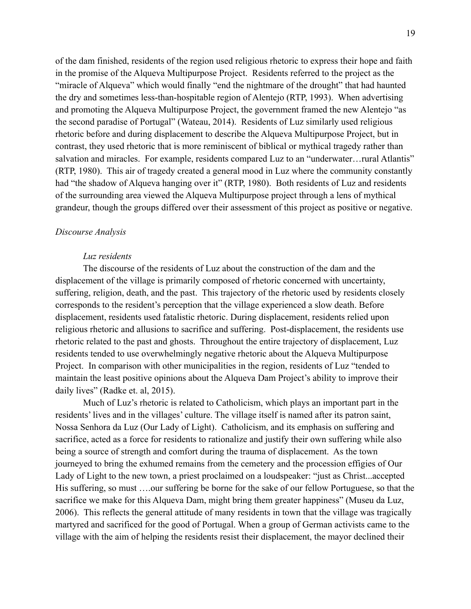of the dam finished, residents of the region used religious rhetoric to express their hope and faith in the promise of the Alqueva Multipurpose Project. Residents referred to the project as the "miracle of Alqueva" which would finally "end the nightmare of the drought" that had haunted the dry and sometimes less-than-hospitable region of Alentejo (RTP, 1993). When advertising and promoting the Alqueva Multipurpose Project, the government framed the new Alentejo "as the second paradise of Portugal" (Wateau, 2014). Residents of Luz similarly used religious rhetoric before and during displacement to describe the Alqueva Multipurpose Project, but in contrast, they used rhetoric that is more reminiscent of biblical or mythical tragedy rather than salvation and miracles. For example, residents compared Luz to an "underwater...rural Atlantis" (RTP, 1980). This air of tragedy created a general mood in Luz where the community constantly had "the shadow of Alqueva hanging over it" (RTP, 1980). Both residents of Luz and residents of the surrounding area viewed the Alqueva Multipurpose project through a lens of mythical grandeur, though the groups differed over their assessment of this project as positive or negative.

#### *Discourse Analysis*

#### *Luz residents*

The discourse of the residents of Luz about the construction of the dam and the displacement of the village is primarily composed of rhetoric concerned with uncertainty, suffering, religion, death, and the past. This trajectory of the rhetoric used by residents closely corresponds to the resident's perception that the village experienced a slow death. Before displacement, residents used fatalistic rhetoric. During displacement, residents relied upon religious rhetoric and allusions to sacrifice and suffering. Post-displacement, the residents use rhetoric related to the past and ghosts. Throughout the entire trajectory of displacement, Luz residents tended to use overwhelmingly negative rhetoric about the Alqueva Multipurpose Project. In comparison with other municipalities in the region, residents of Luz "tended to maintain the least positive opinions about the Alqueva Dam Project's ability to improve their daily lives" (Radke et. al, 2015).

Much of Luz's rhetoric is related to Catholicism, which plays an important part in the residents' lives and in the villages' culture. The village itself is named after its patron saint, Nossa Senhora da Luz (Our Lady of Light). Catholicism, and its emphasis on suffering and sacrifice, acted as a force for residents to rationalize and justify their own suffering while also being a source of strength and comfort during the trauma of displacement. As the town journeyed to bring the exhumed remains from the cemetery and the procession effigies of Our Lady of Light to the new town, a priest proclaimed on a loudspeaker: "just as Christ...accepted His suffering, so must ….our suffering be borne for the sake of our fellow Portuguese, so that the sacrifice we make for this Alqueva Dam, might bring them greater happiness" (Museu da Luz, 2006). This reflects the general attitude of many residents in town that the village was tragically martyred and sacrificed for the good of Portugal. When a group of German activists came to the village with the aim of helping the residents resist their displacement, the mayor declined their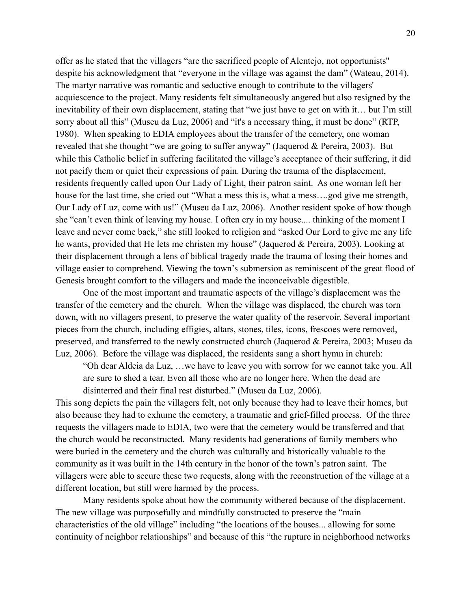offer as he stated that the villagers "are the sacrificed people of Alentejo, not opportunists'' despite his acknowledgment that "everyone in the village was against the dam" (Wateau, 2014). The martyr narrative was romantic and seductive enough to contribute to the villagers' acquiescence to the project. Many residents felt simultaneously angered but also resigned by the inevitability of their own displacement, stating that "we just have to get on with it… but I'm still sorry about all this" (Museu da Luz, 2006) and "it's a necessary thing, it must be done" (RTP, 1980). When speaking to EDIA employees about the transfer of the cemetery, one woman revealed that she thought "we are going to suffer anyway" (Jaquerod & Pereira, 2003). But while this Catholic belief in suffering facilitated the village's acceptance of their suffering, it did not pacify them or quiet their expressions of pain. During the trauma of the displacement, residents frequently called upon Our Lady of Light, their patron saint. As one woman left her house for the last time, she cried out "What a mess this is, what a mess....god give me strength, Our Lady of Luz, come with us!" (Museu da Luz, 2006). Another resident spoke of how though she "can't even think of leaving my house. I often cry in my house.... thinking of the moment I leave and never come back," she still looked to religion and "asked Our Lord to give me any life he wants, provided that He lets me christen my house" (Jaquerod & Pereira, 2003). Looking at their displacement through a lens of biblical tragedy made the trauma of losing their homes and village easier to comprehend. Viewing the town's submersion as reminiscent of the great flood of Genesis brought comfort to the villagers and made the inconceivable digestible.

One of the most important and traumatic aspects of the village's displacement was the transfer of the cemetery and the church. When the village was displaced, the church was torn down, with no villagers present, to preserve the water quality of the reservoir. Several important pieces from the church, including effigies, altars, stones, tiles, icons, frescoes were removed, preserved, and transferred to the newly constructed church (Jaquerod & Pereira, 2003; Museu da Luz, 2006). Before the village was displaced, the residents sang a short hymn in church:

"Oh dear Aldeia da Luz, …we have to leave you with sorrow for we cannot take you. All are sure to shed a tear. Even all those who are no longer here. When the dead are disinterred and their final rest disturbed." (Museu da Luz, 2006).

This song depicts the pain the villagers felt, not only because they had to leave their homes, but also because they had to exhume the cemetery, a traumatic and grief-filled process. Of the three requests the villagers made to EDIA, two were that the cemetery would be transferred and that the church would be reconstructed. Many residents had generations of family members who were buried in the cemetery and the church was culturally and historically valuable to the community as it was built in the 14th century in the honor of the town's patron saint. The villagers were able to secure these two requests, along with the reconstruction of the village at a different location, but still were harmed by the process.

Many residents spoke about how the community withered because of the displacement. The new village was purposefully and mindfully constructed to preserve the "main characteristics of the old village" including "the locations of the houses... allowing for some continuity of neighbor relationships" and because of this "the rupture in neighborhood networks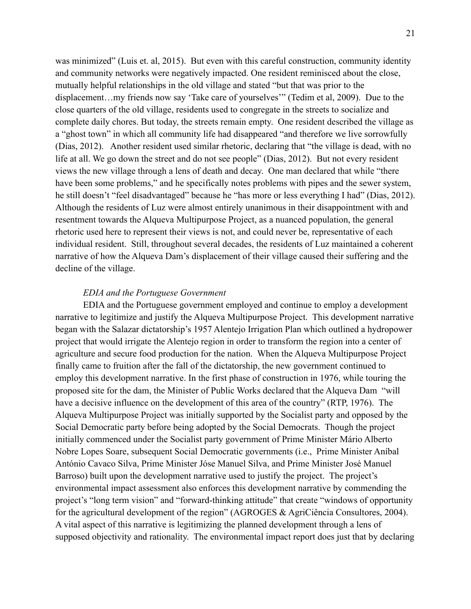was minimized" (Luis et. al, 2015). But even with this careful construction, community identity and community networks were negatively impacted. One resident reminisced about the close, mutually helpful relationships in the old village and stated "but that was prior to the displacement…my friends now say 'Take care of yourselves'" (Tedim et al, 2009). Due to the close quarters of the old village, residents used to congregate in the streets to socialize and complete daily chores. But today, the streets remain empty. One resident described the village as a "ghost town" in which all community life had disappeared "and therefore we live sorrowfully (Dias, 2012). Another resident used similar rhetoric, declaring that "the village is dead, with no life at all. We go down the street and do not see people" (Dias, 2012). But not every resident views the new village through a lens of death and decay. One man declared that while "there have been some problems," and he specifically notes problems with pipes and the sewer system, he still doesn't "feel disadvantaged" because he "has more or less everything I had" (Dias, 2012). Although the residents of Luz were almost entirely unanimous in their disappointment with and resentment towards the Alqueva Multipurpose Project, as a nuanced population, the general rhetoric used here to represent their views is not, and could never be, representative of each individual resident. Still, throughout several decades, the residents of Luz maintained a coherent narrative of how the Alqueva Dam's displacement of their village caused their suffering and the decline of the village.

#### *EDIA and the Portuguese Government*

EDIA and the Portuguese government employed and continue to employ a development narrative to legitimize and justify the Alqueva Multipurpose Project. This development narrative began with the Salazar dictatorship's 1957 Alentejo Irrigation Plan which outlined a hydropower project that would irrigate the Alentejo region in order to transform the region into a center of agriculture and secure food production for the nation. When the Alqueva Multipurpose Project finally came to fruition after the fall of the dictatorship, the new government continued to employ this development narrative. In the first phase of construction in 1976, while touring the proposed site for the dam, the Minister of Public Works declared that the Alqueva Dam "will have a decisive influence on the development of this area of the country" (RTP, 1976). The Alqueva Multipurpose Project was initially supported by the Socialist party and opposed by the Social Democratic party before being adopted by the Social Democrats. Though the project initially commenced under the Socialist party government of Prime Minister Mário Alberto Nobre Lopes Soare, subsequent Social Democratic governments (i.e., Prime Minister Aníbal António Cavaco Silva, Prime Minister Jóse Manuel Silva, and Prime Minister José Manuel Barroso) built upon the development narrative used to justify the project. The project's environmental impact assessment also enforces this development narrative by commending the project's "long term vision" and "forward-thinking attitude" that create "windows of opportunity for the agricultural development of the region" (AGROGES & AgriCiência Consultores, 2004). A vital aspect of this narrative is legitimizing the planned development through a lens of supposed objectivity and rationality. The environmental impact report does just that by declaring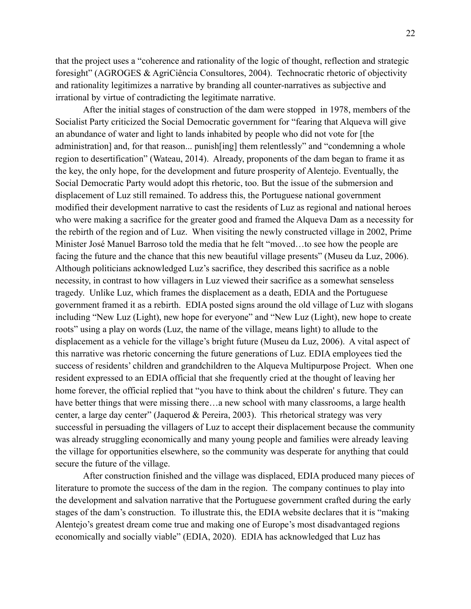that the project uses a "coherence and rationality of the logic of thought, reflection and strategic foresight" (AGROGES & AgriCiência Consultores, 2004). Technocratic rhetoric of objectivity and rationality legitimizes a narrative by branding all counter-narratives as subjective and irrational by virtue of contradicting the legitimate narrative.

After the initial stages of construction of the dam were stopped in 1978, members of the Socialist Party criticized the Social Democratic government for "fearing that Alqueva will give an abundance of water and light to lands inhabited by people who did not vote for [the administration] and, for that reason... punish[ing] them relentlessly" and "condemning a whole region to desertification" (Wateau, 2014). Already, proponents of the dam began to frame it as the key, the only hope, for the development and future prosperity of Alentejo. Eventually, the Social Democratic Party would adopt this rhetoric, too. But the issue of the submersion and displacement of Luz still remained. To address this, the Portuguese national government modified their development narrative to cast the residents of Luz as regional and national heroes who were making a sacrifice for the greater good and framed the Alqueva Dam as a necessity for the rebirth of the region and of Luz. When visiting the newly constructed village in 2002, Prime Minister José Manuel Barroso told the media that he felt "moved…to see how the people are facing the future and the chance that this new beautiful village presents" (Museu da Luz, 2006). Although politicians acknowledged Luz's sacrifice, they described this sacrifice as a noble necessity, in contrast to how villagers in Luz viewed their sacrifice as a somewhat senseless tragedy. Unlike Luz, which frames the displacement as a death, EDIA and the Portuguese government framed it as a rebirth. EDIA posted signs around the old village of Luz with slogans including "New Luz (Light), new hope for everyone" and "New Luz (Light), new hope to create roots" using a play on words (Luz, the name of the village, means light) to allude to the displacement as a vehicle for the village's bright future (Museu da Luz, 2006). A vital aspect of this narrative was rhetoric concerning the future generations of Luz. EDIA employees tied the success of residents' children and grandchildren to the Alqueva Multipurpose Project. When one resident expressed to an EDIA official that she frequently cried at the thought of leaving her home forever, the official replied that "you have to think about the children' s future. They can have better things that were missing there...a new school with many classrooms, a large health center, a large day center" (Jaquerod & Pereira, 2003). This rhetorical strategy was very successful in persuading the villagers of Luz to accept their displacement because the community was already struggling economically and many young people and families were already leaving the village for opportunities elsewhere, so the community was desperate for anything that could secure the future of the village.

After construction finished and the village was displaced, EDIA produced many pieces of literature to promote the success of the dam in the region. The company continues to play into the development and salvation narrative that the Portuguese government crafted during the early stages of the dam's construction. To illustrate this, the EDIA website declares that it is "making Alentejo's greatest dream come true and making one of Europe's most disadvantaged regions economically and socially viable" (EDIA, 2020). EDIA has acknowledged that Luz has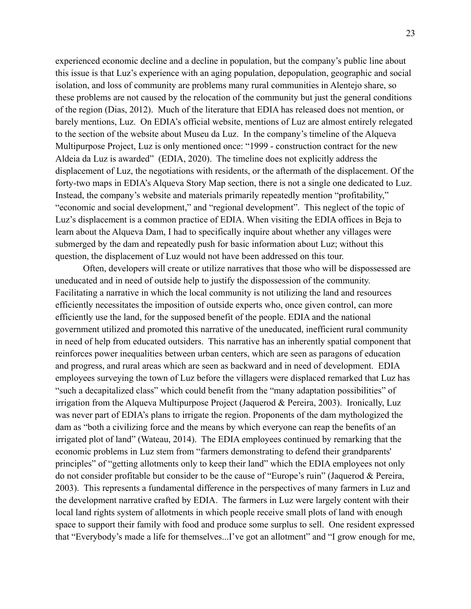experienced economic decline and a decline in population, but the company's public line about this issue is that Luz's experience with an aging population, depopulation, geographic and social isolation, and loss of community are problems many rural communities in Alentejo share, so these problems are not caused by the relocation of the community but just the general conditions of the region (Dias, 2012). Much of the literature that EDIA has released does not mention, or barely mentions, Luz. On EDIA's official website, mentions of Luz are almost entirely relegated to the section of the website about Museu da Luz. In the company's timeline of the Alqueva Multipurpose Project, Luz is only mentioned once: "1999 - construction contract for the new Aldeia da Luz is awarded" (EDIA, 2020). The timeline does not explicitly address the displacement of Luz, the negotiations with residents, or the aftermath of the displacement. Of the forty-two maps in EDIA's Alqueva Story Map section, there is not a single one dedicated to Luz. Instead, the company's website and materials primarily repeatedly mention "profitability," "economic and social development," and "regional development". This neglect of the topic of Luz's displacement is a common practice of EDIA. When visiting the EDIA offices in Beja to learn about the Alqueva Dam, I had to specifically inquire about whether any villages were submerged by the dam and repeatedly push for basic information about Luz; without this question, the displacement of Luz would not have been addressed on this tour.

Often, developers will create or utilize narratives that those who will be dispossessed are uneducated and in need of outside help to justify the dispossession of the community. Facilitating a narrative in which the local community is not utilizing the land and resources efficiently necessitates the imposition of outside experts who, once given control, can more efficiently use the land, for the supposed benefit of the people. EDIA and the national government utilized and promoted this narrative of the uneducated, inefficient rural community in need of help from educated outsiders. This narrative has an inherently spatial component that reinforces power inequalities between urban centers, which are seen as paragons of education and progress, and rural areas which are seen as backward and in need of development. EDIA employees surveying the town of Luz before the villagers were displaced remarked that Luz has "such a decapitalized class" which could benefit from the "many adaptation possibilities" of irrigation from the Alqueva Multipurpose Project (Jaquerod & Pereira, 2003). Ironically, Luz was never part of EDIA's plans to irrigate the region. Proponents of the dam mythologized the dam as "both a civilizing force and the means by which everyone can reap the benefits of an irrigated plot of land" (Wateau, 2014). The EDIA employees continued by remarking that the economic problems in Luz stem from "farmers demonstrating to defend their grandparents' principles" of "getting allotments only to keep their land" which the EDIA employees not only do not consider profitable but consider to be the cause of "Europe's ruin" (Jaquerod & Pereira, 2003). This represents a fundamental difference in the perspectives of many farmers in Luz and the development narrative crafted by EDIA. The farmers in Luz were largely content with their local land rights system of allotments in which people receive small plots of land with enough space to support their family with food and produce some surplus to sell. One resident expressed that "Everybody's made a life for themselves...I've got an allotment" and "I grow enough for me,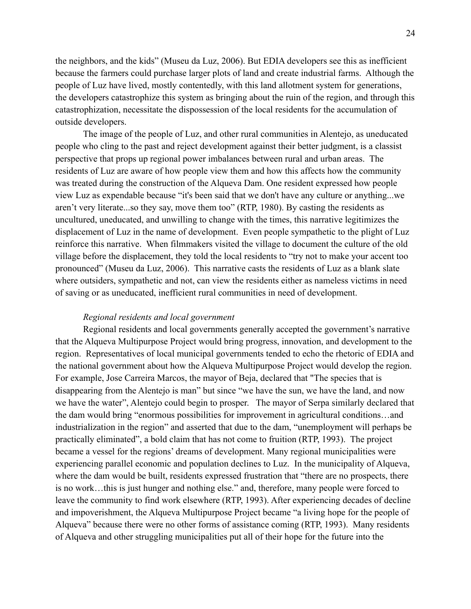the neighbors, and the kids" (Museu da Luz, 2006). But EDIA developers see this as inefficient because the farmers could purchase larger plots of land and create industrial farms. Although the people of Luz have lived, mostly contentedly, with this land allotment system for generations, the developers catastrophize this system as bringing about the ruin of the region, and through this catastrophization, necessitate the dispossession of the local residents for the accumulation of outside developers.

The image of the people of Luz, and other rural communities in Alentejo, as uneducated people who cling to the past and reject development against their better judgment, is a classist perspective that props up regional power imbalances between rural and urban areas. The residents of Luz are aware of how people view them and how this affects how the community was treated during the construction of the Alqueva Dam. One resident expressed how people view Luz as expendable because "it's been said that we don't have any culture or anything...we aren't very literate...so they say, move them too" (RTP, 1980). By casting the residents as uncultured, uneducated, and unwilling to change with the times, this narrative legitimizes the displacement of Luz in the name of development. Even people sympathetic to the plight of Luz reinforce this narrative. When filmmakers visited the village to document the culture of the old village before the displacement, they told the local residents to "try not to make your accent too pronounced" (Museu da Luz, 2006). This narrative casts the residents of Luz as a blank slate where outsiders, sympathetic and not, can view the residents either as nameless victims in need of saving or as uneducated, inefficient rural communities in need of development.

#### *Regional residents and local government*

Regional residents and local governments generally accepted the government's narrative that the Alqueva Multipurpose Project would bring progress, innovation, and development to the region. Representatives of local municipal governments tended to echo the rhetoric of EDIA and the national government about how the Alqueva Multipurpose Project would develop the region. For example, Jose Carreira Marcos, the mayor of Beja, declared that "The species that is disappearing from the Alentejo is man" but since "we have the sun, we have the land, and now we have the water", Alentejo could begin to prosper. The mayor of Serpa similarly declared that the dam would bring "enormous possibilities for improvement in agricultural conditions…and industrialization in the region" and asserted that due to the dam, "unemployment will perhaps be practically eliminated", a bold claim that has not come to fruition (RTP, 1993). The project became a vessel for the regions' dreams of development. Many regional municipalities were experiencing parallel economic and population declines to Luz. In the municipality of Alqueva, where the dam would be built, residents expressed frustration that "there are no prospects, there is no work…this is just hunger and nothing else." and, therefore, many people were forced to leave the community to find work elsewhere (RTP, 1993). After experiencing decades of decline and impoverishment, the Alqueva Multipurpose Project became "a living hope for the people of Alqueva" because there were no other forms of assistance coming (RTP, 1993). Many residents of Alqueva and other struggling municipalities put all of their hope for the future into the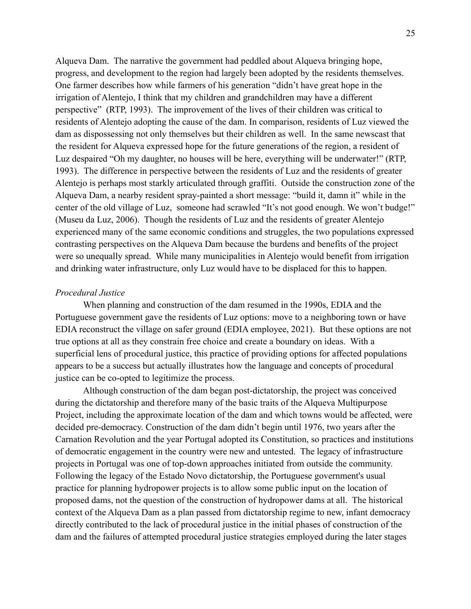Alqueva Dam. The narrative the government had peddled about Alqueva bringing hope, progress, and development to the region had largely been adopted by the residents themselves. One farmer describes how while farmers of his generation "didn't have great hope in the irrigation of Alentejo, I think that my children and grandchildren may have a different perspective" (RTP, 1993). The improvement of the lives of their children was critical to residents of Alentejo adopting the cause of the dam. In comparison, residents of Luz viewed the dam as dispossessing not only themselves but their children as well. In the same newscast that the resident for Alqueva expressed hope for the future generations of the region, a resident of Luz despaired "Oh my daughter, no houses will be here, everything will be underwater!" (RTP, 1993). The difference in perspective between the residents of Luz and the residents of greater Alentejo is perhaps most starkly articulated through graffiti. Outside the construction zone of the Alqueva Dam, a nearby resident spray-painted a short message: "build it, damn it" while in the center of the old village of Luz, someone had scrawled "It's not good enough. We won't budge!" (Museu da Luz, 2006). Though the residents of Luz and the residents of greater Alentejo experienced many of the same economic conditions and struggles, the two populations expressed contrasting perspectives on the Alqueva Dam because the burdens and benefits of the project were so unequally spread. While many municipalities in Alentejo would benefit from irrigation and drinking water infrastructure, only Luz would have to be displaced for this to happen.

#### *Procedural Justice*

When planning and construction of the dam resumed in the 1990s, EDIA and the Portuguese government gave the residents of Luz options: move to a neighboring town or have EDIA reconstruct the village on safer ground (EDIA employee, 2021). But these options are not true options at all as they constrain free choice and create a boundary on ideas. With a superficial lens of procedural justice, this practice of providing options for affected populations appears to be a success but actually illustrates how the language and concepts of procedural justice can be co-opted to legitimize the process.

Although construction of the dam began post-dictatorship, the project was conceived during the dictatorship and therefore many of the basic traits of the Alqueva Multipurpose Project, including the approximate location of the dam and which towns would be affected, were decided pre-democracy. Construction of the dam didn't begin until 1976, two years after the Carnation Revolution and the year Portugal adopted its Constitution, so practices and institutions of democratic engagement in the country were new and untested. The legacy of infrastructure projects in Portugal was one of top-down approaches initiated from outside the community. Following the legacy of the Estado Novo dictatorship, the Portuguese government's usual practice for planning hydropower projects is to allow some public input on the location of proposed dams, not the question of the construction of hydropower dams at all. The historical context of the Alqueva Dam as a plan passed from dictatorship regime to new, infant democracy directly contributed to the lack of procedural justice in the initial phases of construction of the dam and the failures of attempted procedural justice strategies employed during the later stages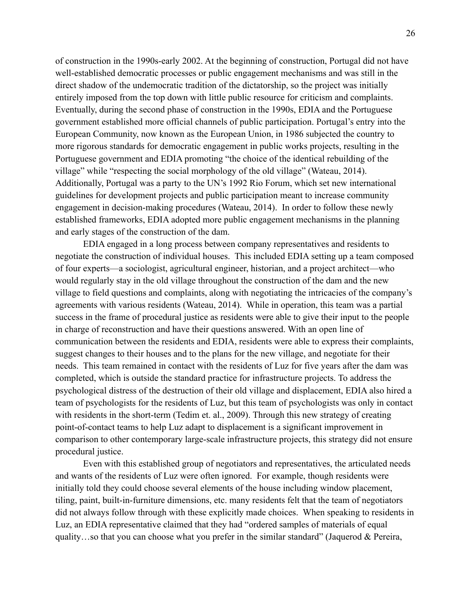of construction in the 1990s-early 2002. At the beginning of construction, Portugal did not have well-established democratic processes or public engagement mechanisms and was still in the direct shadow of the undemocratic tradition of the dictatorship, so the project was initially entirely imposed from the top down with little public resource for criticism and complaints. Eventually, during the second phase of construction in the 1990s, EDIA and the Portuguese government established more official channels of public participation. Portugal's entry into the European Community, now known as the European Union, in 1986 subjected the country to more rigorous standards for democratic engagement in public works projects, resulting in the Portuguese government and EDIA promoting "the choice of the identical rebuilding of the village" while "respecting the social morphology of the old village" (Wateau, 2014). Additionally, Portugal was a party to the UN's 1992 Rio Forum, which set new international guidelines for development projects and public participation meant to increase community engagement in decision-making procedures (Wateau, 2014). In order to follow these newly established frameworks, EDIA adopted more public engagement mechanisms in the planning and early stages of the construction of the dam.

EDIA engaged in a long process between company representatives and residents to negotiate the construction of individual houses. This included EDIA setting up a team composed of four experts—a sociologist, agricultural engineer, historian, and a project architect—who would regularly stay in the old village throughout the construction of the dam and the new village to field questions and complaints, along with negotiating the intricacies of the company's agreements with various residents (Wateau, 2014). While in operation, this team was a partial success in the frame of procedural justice as residents were able to give their input to the people in charge of reconstruction and have their questions answered. With an open line of communication between the residents and EDIA, residents were able to express their complaints, suggest changes to their houses and to the plans for the new village, and negotiate for their needs. This team remained in contact with the residents of Luz for five years after the dam was completed, which is outside the standard practice for infrastructure projects. To address the psychological distress of the destruction of their old village and displacement, EDIA also hired a team of psychologists for the residents of Luz, but this team of psychologists was only in contact with residents in the short-term (Tedim et. al., 2009). Through this new strategy of creating point-of-contact teams to help Luz adapt to displacement is a significant improvement in comparison to other contemporary large-scale infrastructure projects, this strategy did not ensure procedural justice.

Even with this established group of negotiators and representatives, the articulated needs and wants of the residents of Luz were often ignored. For example, though residents were initially told they could choose several elements of the house including window placement, tiling, paint, built-in-furniture dimensions, etc. many residents felt that the team of negotiators did not always follow through with these explicitly made choices. When speaking to residents in Luz, an EDIA representative claimed that they had "ordered samples of materials of equal quality…so that you can choose what you prefer in the similar standard" (Jaquerod & Pereira,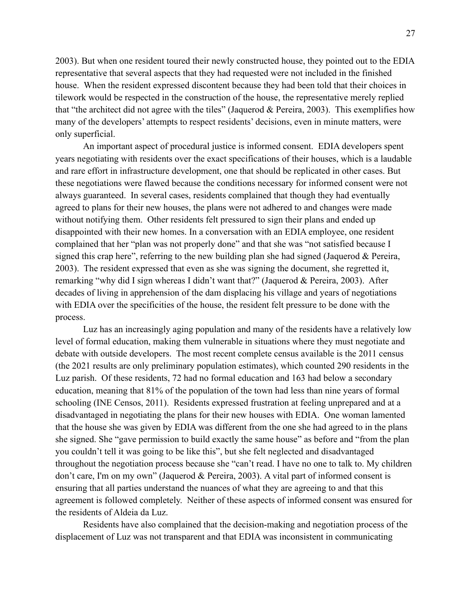2003). But when one resident toured their newly constructed house, they pointed out to the EDIA representative that several aspects that they had requested were not included in the finished house. When the resident expressed discontent because they had been told that their choices in tilework would be respected in the construction of the house, the representative merely replied that "the architect did not agree with the tiles" (Jaquerod & Pereira, 2003). This exemplifies how many of the developers' attempts to respect residents' decisions, even in minute matters, were only superficial.

An important aspect of procedural justice is informed consent. EDIA developers spent years negotiating with residents over the exact specifications of their houses, which is a laudable and rare effort in infrastructure development, one that should be replicated in other cases. But these negotiations were flawed because the conditions necessary for informed consent were not always guaranteed. In several cases, residents complained that though they had eventually agreed to plans for their new houses, the plans were not adhered to and changes were made without notifying them. Other residents felt pressured to sign their plans and ended up disappointed with their new homes. In a conversation with an EDIA employee, one resident complained that her "plan was not properly done" and that she was "not satisfied because I signed this crap here", referring to the new building plan she had signed (Jaquerod & Pereira, 2003). The resident expressed that even as she was signing the document, she regretted it, remarking "why did I sign whereas I didn't want that?" (Jaquerod & Pereira, 2003). After decades of living in apprehension of the dam displacing his village and years of negotiations with EDIA over the specificities of the house, the resident felt pressure to be done with the process.

Luz has an increasingly aging population and many of the residents have a relatively low level of formal education, making them vulnerable in situations where they must negotiate and debate with outside developers. The most recent complete census available is the 2011 census (the 2021 results are only preliminary population estimates), which counted 290 residents in the Luz parish. Of these residents, 72 had no formal education and 163 had below a secondary education, meaning that 81% of the population of the town had less than nine years of formal schooling (INE Censos, 2011). Residents expressed frustration at feeling unprepared and at a disadvantaged in negotiating the plans for their new houses with EDIA. One woman lamented that the house she was given by EDIA was different from the one she had agreed to in the plans she signed. She "gave permission to build exactly the same house" as before and "from the plan you couldn't tell it was going to be like this", but she felt neglected and disadvantaged throughout the negotiation process because she "can't read. I have no one to talk to. My children don't care, I'm on my own" (Jaquerod & Pereira, 2003). A vital part of informed consent is ensuring that all parties understand the nuances of what they are agreeing to and that this agreement is followed completely. Neither of these aspects of informed consent was ensured for the residents of Aldeia da Luz.

Residents have also complained that the decision-making and negotiation process of the displacement of Luz was not transparent and that EDIA was inconsistent in communicating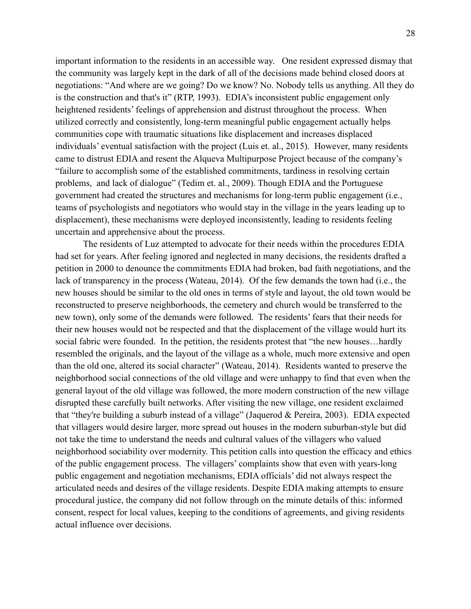important information to the residents in an accessible way. One resident expressed dismay that the community was largely kept in the dark of all of the decisions made behind closed doors at negotiations: "And where are we going? Do we know? No. Nobody tells us anything. All they do is the construction and that's it" (RTP, 1993). EDIA's inconsistent public engagement only heightened residents' feelings of apprehension and distrust throughout the process. When utilized correctly and consistently, long-term meaningful public engagement actually helps communities cope with traumatic situations like displacement and increases displaced individuals' eventual satisfaction with the project (Luis et. al., 2015). However, many residents came to distrust EDIA and resent the Alqueva Multipurpose Project because of the company's "failure to accomplish some of the established commitments, tardiness in resolving certain problems, and lack of dialogue" (Tedim et. al., 2009). Though EDIA and the Portuguese government had created the structures and mechanisms for long-term public engagement (i.e., teams of psychologists and negotiators who would stay in the village in the years leading up to displacement), these mechanisms were deployed inconsistently, leading to residents feeling uncertain and apprehensive about the process.

The residents of Luz attempted to advocate for their needs within the procedures EDIA had set for years. After feeling ignored and neglected in many decisions, the residents drafted a petition in 2000 to denounce the commitments EDIA had broken, bad faith negotiations, and the lack of transparency in the process (Wateau, 2014). Of the few demands the town had (i.e., the new houses should be similar to the old ones in terms of style and layout, the old town would be reconstructed to preserve neighborhoods, the cemetery and church would be transferred to the new town), only some of the demands were followed. The residents' fears that their needs for their new houses would not be respected and that the displacement of the village would hurt its social fabric were founded. In the petition, the residents protest that "the new houses…hardly resembled the originals, and the layout of the village as a whole, much more extensive and open than the old one, altered its social character" (Wateau, 2014). Residents wanted to preserve the neighborhood social connections of the old village and were unhappy to find that even when the general layout of the old village was followed, the more modern construction of the new village disrupted these carefully built networks. After visiting the new village, one resident exclaimed that "they're building a suburb instead of a village" (Jaquerod & Pereira, 2003). EDIA expected that villagers would desire larger, more spread out houses in the modern suburban-style but did not take the time to understand the needs and cultural values of the villagers who valued neighborhood sociability over modernity. This petition calls into question the efficacy and ethics of the public engagement process. The villagers' complaints show that even with years-long public engagement and negotiation mechanisms, EDIA officials' did not always respect the articulated needs and desires of the village residents. Despite EDIA making attempts to ensure procedural justice, the company did not follow through on the minute details of this: informed consent, respect for local values, keeping to the conditions of agreements, and giving residents actual influence over decisions.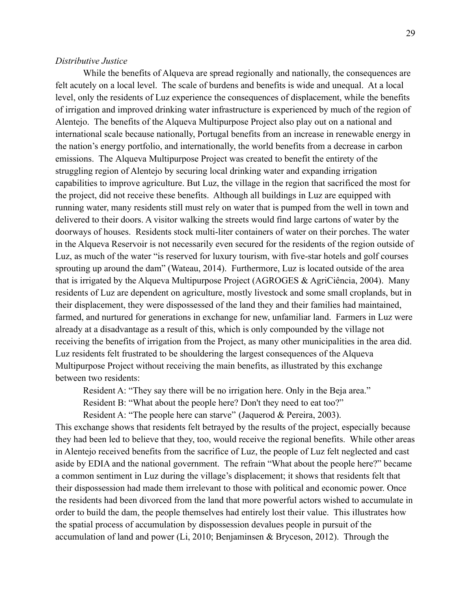#### *Distributive Justice*

While the benefits of Alqueva are spread regionally and nationally, the consequences are felt acutely on a local level. The scale of burdens and benefits is wide and unequal. At a local level, only the residents of Luz experience the consequences of displacement, while the benefits of irrigation and improved drinking water infrastructure is experienced by much of the region of Alentejo. The benefits of the Alqueva Multipurpose Project also play out on a national and international scale because nationally, Portugal benefits from an increase in renewable energy in the nation's energy portfolio, and internationally, the world benefits from a decrease in carbon emissions. The Alqueva Multipurpose Project was created to benefit the entirety of the struggling region of Alentejo by securing local drinking water and expanding irrigation capabilities to improve agriculture. But Luz, the village in the region that sacrificed the most for the project, did not receive these benefits. Although all buildings in Luz are equipped with running water, many residents still must rely on water that is pumped from the well in town and delivered to their doors. A visitor walking the streets would find large cartons of water by the doorways of houses. Residents stock multi-liter containers of water on their porches. The water in the Alqueva Reservoir is not necessarily even secured for the residents of the region outside of Luz, as much of the water "is reserved for luxury tourism, with five-star hotels and golf courses sprouting up around the dam" (Wateau, 2014). Furthermore, Luz is located outside of the area that is irrigated by the Alqueva Multipurpose Project (AGROGES & AgriCiência, 2004). Many residents of Luz are dependent on agriculture, mostly livestock and some small croplands, but in their displacement, they were dispossessed of the land they and their families had maintained, farmed, and nurtured for generations in exchange for new, unfamiliar land. Farmers in Luz were already at a disadvantage as a result of this, which is only compounded by the village not receiving the benefits of irrigation from the Project, as many other municipalities in the area did. Luz residents felt frustrated to be shouldering the largest consequences of the Alqueva Multipurpose Project without receiving the main benefits, as illustrated by this exchange between two residents:

Resident A: "They say there will be no irrigation here. Only in the Beja area."

Resident B: "What about the people here? Don't they need to eat too?"

Resident A: "The people here can starve" (Jaquerod & Pereira, 2003).

This exchange shows that residents felt betrayed by the results of the project, especially because they had been led to believe that they, too, would receive the regional benefits. While other areas in Alentejo received benefits from the sacrifice of Luz, the people of Luz felt neglected and cast aside by EDIA and the national government. The refrain "What about the people here?" became a common sentiment in Luz during the village's displacement; it shows that residents felt that their dispossession had made them irrelevant to those with political and economic power. Once the residents had been divorced from the land that more powerful actors wished to accumulate in order to build the dam, the people themselves had entirely lost their value. This illustrates how the spatial process of accumulation by dispossession devalues people in pursuit of the accumulation of land and power (Li, 2010; Benjaminsen & Bryceson, 2012). Through the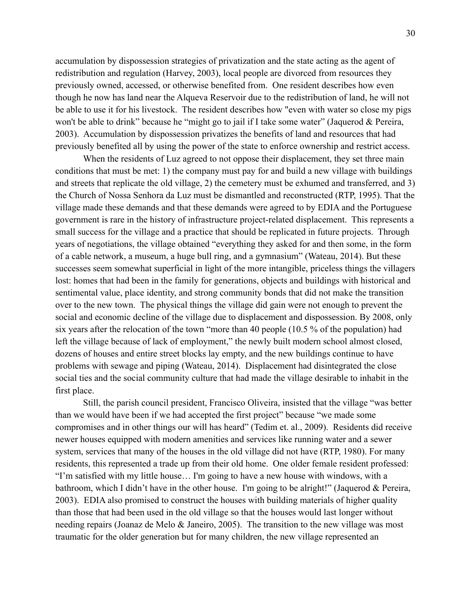accumulation by dispossession strategies of privatization and the state acting as the agent of redistribution and regulation (Harvey, 2003), local people are divorced from resources they previously owned, accessed, or otherwise benefited from. One resident describes how even though he now has land near the Alqueva Reservoir due to the redistribution of land, he will not be able to use it for his livestock. The resident describes how "even with water so close my pigs won't be able to drink" because he "might go to jail if I take some water" (Jaquerod & Pereira, 2003). Accumulation by dispossession privatizes the benefits of land and resources that had previously benefited all by using the power of the state to enforce ownership and restrict access.

When the residents of Luz agreed to not oppose their displacement, they set three main conditions that must be met: 1) the company must pay for and build a new village with buildings and streets that replicate the old village, 2) the cemetery must be exhumed and transferred, and 3) the Church of Nossa Senhora da Luz must be dismantled and reconstructed (RTP, 1995). That the village made these demands and that these demands were agreed to by EDIA and the Portuguese government is rare in the history of infrastructure project-related displacement. This represents a small success for the village and a practice that should be replicated in future projects. Through years of negotiations, the village obtained "everything they asked for and then some, in the form of a cable network, a museum, a huge bull ring, and a gymnasium" (Wateau, 2014). But these successes seem somewhat superficial in light of the more intangible, priceless things the villagers lost: homes that had been in the family for generations, objects and buildings with historical and sentimental value, place identity, and strong community bonds that did not make the transition over to the new town. The physical things the village did gain were not enough to prevent the social and economic decline of the village due to displacement and dispossession. By 2008, only six years after the relocation of the town "more than 40 people (10.5 % of the population) had left the village because of lack of employment," the newly built modern school almost closed, dozens of houses and entire street blocks lay empty, and the new buildings continue to have problems with sewage and piping (Wateau, 2014). Displacement had disintegrated the close social ties and the social community culture that had made the village desirable to inhabit in the first place.

Still, the parish council president, Francisco Oliveira, insisted that the village "was better than we would have been if we had accepted the first project" because "we made some compromises and in other things our will has heard" (Tedim et. al., 2009). Residents did receive newer houses equipped with modern amenities and services like running water and a sewer system, services that many of the houses in the old village did not have (RTP, 1980). For many residents, this represented a trade up from their old home. One older female resident professed: "I'm satisfied with my little house… I'm going to have a new house with windows, with a bathroom, which I didn't have in the other house. I'm going to be alright!" (Jaquerod & Pereira, 2003). EDIA also promised to construct the houses with building materials of higher quality than those that had been used in the old village so that the houses would last longer without needing repairs (Joanaz de Melo & Janeiro, 2005). The transition to the new village was most traumatic for the older generation but for many children, the new village represented an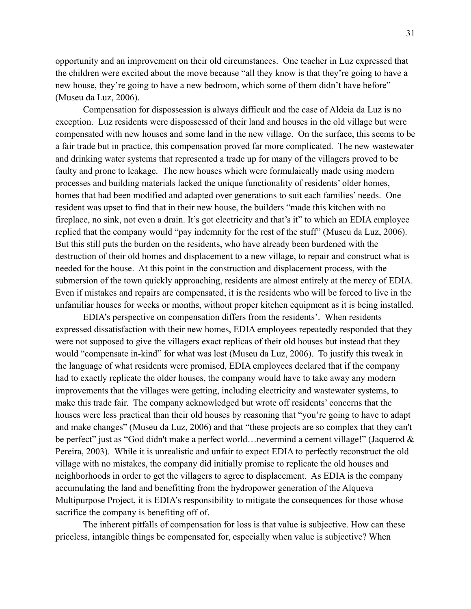opportunity and an improvement on their old circumstances. One teacher in Luz expressed that the children were excited about the move because "all they know is that they're going to have a new house, they're going to have a new bedroom, which some of them didn't have before" (Museu da Luz, 2006).

Compensation for dispossession is always difficult and the case of Aldeia da Luz is no exception. Luz residents were dispossessed of their land and houses in the old village but were compensated with new houses and some land in the new village. On the surface, this seems to be a fair trade but in practice, this compensation proved far more complicated. The new wastewater and drinking water systems that represented a trade up for many of the villagers proved to be faulty and prone to leakage. The new houses which were formulaically made using modern processes and building materials lacked the unique functionality of residents' older homes, homes that had been modified and adapted over generations to suit each families' needs. One resident was upset to find that in their new house, the builders "made this kitchen with no fireplace, no sink, not even a drain. It's got electricity and that's it" to which an EDIA employee replied that the company would "pay indemnity for the rest of the stuff" (Museu da Luz, 2006). But this still puts the burden on the residents, who have already been burdened with the destruction of their old homes and displacement to a new village, to repair and construct what is needed for the house. At this point in the construction and displacement process, with the submersion of the town quickly approaching, residents are almost entirely at the mercy of EDIA. Even if mistakes and repairs are compensated, it is the residents who will be forced to live in the unfamiliar houses for weeks or months, without proper kitchen equipment as it is being installed.

EDIA's perspective on compensation differs from the residents'. When residents expressed dissatisfaction with their new homes, EDIA employees repeatedly responded that they were not supposed to give the villagers exact replicas of their old houses but instead that they would "compensate in-kind" for what was lost (Museu da Luz, 2006). To justify this tweak in the language of what residents were promised, EDIA employees declared that if the company had to exactly replicate the older houses, the company would have to take away any modern improvements that the villages were getting, including electricity and wastewater systems, to make this trade fair. The company acknowledged but wrote off residents' concerns that the houses were less practical than their old houses by reasoning that "you're going to have to adapt and make changes" (Museu da Luz, 2006) and that "these projects are so complex that they can't be perfect" just as "God didn't make a perfect world... nevermind a cement village!" (Jaquerod & Pereira, 2003). While it is unrealistic and unfair to expect EDIA to perfectly reconstruct the old village with no mistakes, the company did initially promise to replicate the old houses and neighborhoods in order to get the villagers to agree to displacement. As EDIA is the company accumulating the land and benefitting from the hydropower generation of the Alqueva Multipurpose Project, it is EDIA's responsibility to mitigate the consequences for those whose sacrifice the company is benefiting off of.

The inherent pitfalls of compensation for loss is that value is subjective. How can these priceless, intangible things be compensated for, especially when value is subjective? When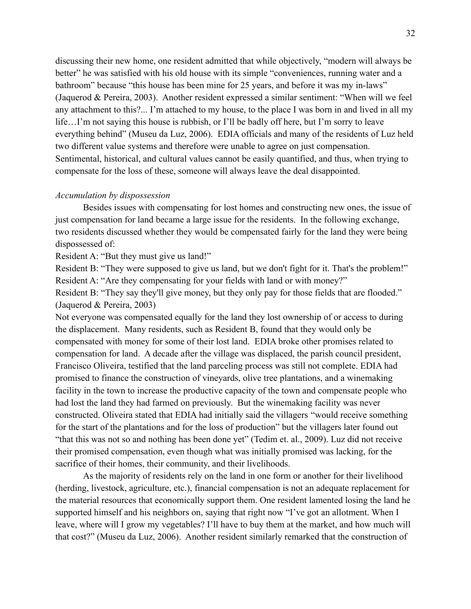discussing their new home, one resident admitted that while objectively, "modern will always be better" he was satisfied with his old house with its simple "conveniences, running water and a bathroom" because "this house has been mine for 25 years, and before it was my in-laws" (Jaquerod & Pereira, 2003). Another resident expressed a similar sentiment: "When will we feel any attachment to this?... I'm attached to my house, to the place I was born in and lived in all my life…I'm not saying this house is rubbish, or I'll be badly off here, but I'm sorry to leave everything behind" (Museu da Luz, 2006). EDIA officials and many of the residents of Luz held two different value systems and therefore were unable to agree on just compensation. Sentimental, historical, and cultural values cannot be easily quantified, and thus, when trying to compensate for the loss of these, someone will always leave the deal disappointed.

#### *Accumulation by dispossession*

Besides issues with compensating for lost homes and constructing new ones, the issue of just compensation for land became a large issue for the residents. In the following exchange, two residents discussed whether they would be compensated fairly for the land they were being dispossessed of:

Resident A: "But they must give us land!"

Resident B: "They were supposed to give us land, but we don't fight for it. That's the problem!" Resident A: "Are they compensating for your fields with land or with money?"

Resident B: "They say they'll give money, but they only pay for those fields that are flooded." (Jaquerod & Pereira, 2003)

Not everyone was compensated equally for the land they lost ownership of or access to during the displacement. Many residents, such as Resident B, found that they would only be compensated with money for some of their lost land. EDIA broke other promises related to compensation for land. A decade after the village was displaced, the parish council president, Francisco Oliveira, testified that the land parceling process was still not complete. EDIA had promised to finance the construction of vineyards, olive tree plantations, and a winemaking facility in the town to increase the productive capacity of the town and compensate people who had lost the land they had farmed on previously. But the winemaking facility was never constructed. Oliveira stated that EDIA had initially said the villagers "would receive something for the start of the plantations and for the loss of production" but the villagers later found out "that this was not so and nothing has been done yet" (Tedim et. al., 2009). Luz did not receive their promised compensation, even though what was initially promised was lacking, for the sacrifice of their homes, their community, and their livelihoods.

As the majority of residents rely on the land in one form or another for their livelihood (herding, livestock, agriculture, etc.), financial compensation is not an adequate replacement for the material resources that economically support them. One resident lamented losing the land he supported himself and his neighbors on, saying that right now "I've got an allotment. When I leave, where will I grow my vegetables? I'll have to buy them at the market, and how much will that cost?" (Museu da Luz, 2006). Another resident similarly remarked that the construction of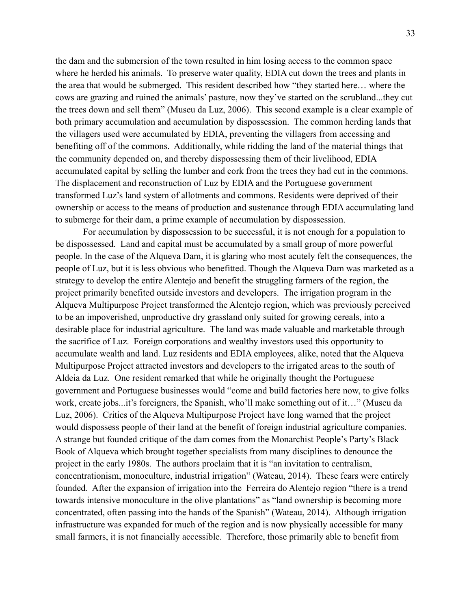the dam and the submersion of the town resulted in him losing access to the common space where he herded his animals. To preserve water quality, EDIA cut down the trees and plants in the area that would be submerged. This resident described how "they started here… where the cows are grazing and ruined the animals' pasture, now they've started on the scrubland...they cut the trees down and sell them" (Museu da Luz, 2006). This second example is a clear example of both primary accumulation and accumulation by dispossession. The common herding lands that the villagers used were accumulated by EDIA, preventing the villagers from accessing and benefiting off of the commons. Additionally, while ridding the land of the material things that the community depended on, and thereby dispossessing them of their livelihood, EDIA accumulated capital by selling the lumber and cork from the trees they had cut in the commons. The displacement and reconstruction of Luz by EDIA and the Portuguese government transformed Luz's land system of allotments and commons. Residents were deprived of their ownership or access to the means of production and sustenance through EDIA accumulating land to submerge for their dam, a prime example of accumulation by dispossession.

For accumulation by dispossession to be successful, it is not enough for a population to be dispossessed. Land and capital must be accumulated by a small group of more powerful people. In the case of the Alqueva Dam, it is glaring who most acutely felt the consequences, the people of Luz, but it is less obvious who benefitted. Though the Alqueva Dam was marketed as a strategy to develop the entire Alentejo and benefit the struggling farmers of the region, the project primarily benefited outside investors and developers. The irrigation program in the Alqueva Multipurpose Project transformed the Alentejo region, which was previously perceived to be an impoverished, unproductive dry grassland only suited for growing cereals, into a desirable place for industrial agriculture. The land was made valuable and marketable through the sacrifice of Luz. Foreign corporations and wealthy investors used this opportunity to accumulate wealth and land. Luz residents and EDIA employees, alike, noted that the Alqueva Multipurpose Project attracted investors and developers to the irrigated areas to the south of Aldeia da Luz. One resident remarked that while he originally thought the Portuguese government and Portuguese businesses would "come and build factories here now, to give folks work, create jobs...it's foreigners, the Spanish, who'll make something out of it…" (Museu da Luz, 2006). Critics of the Alqueva Multipurpose Project have long warned that the project would dispossess people of their land at the benefit of foreign industrial agriculture companies. A strange but founded critique of the dam comes from the Monarchist People's Party's Black Book of Alqueva which brought together specialists from many disciplines to denounce the project in the early 1980s. The authors proclaim that it is "an invitation to centralism, concentrationism, monoculture, industrial irrigation" (Wateau, 2014). These fears were entirely founded. After the expansion of irrigation into the Ferreira do Alentejo region "there is a trend towards intensive monoculture in the olive plantations" as "land ownership is becoming more concentrated, often passing into the hands of the Spanish" (Wateau, 2014). Although irrigation infrastructure was expanded for much of the region and is now physically accessible for many small farmers, it is not financially accessible. Therefore, those primarily able to benefit from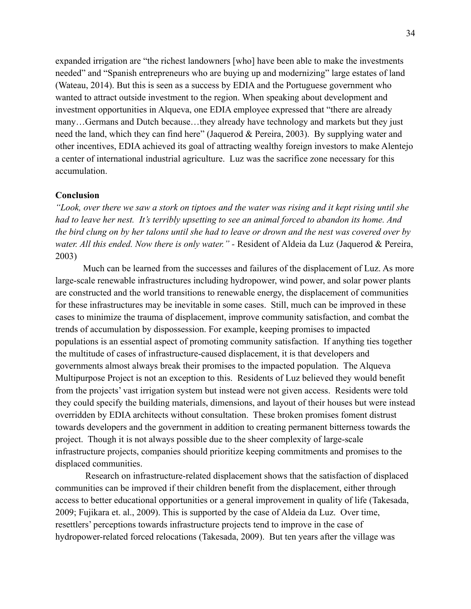expanded irrigation are "the richest landowners [who] have been able to make the investments needed" and "Spanish entrepreneurs who are buying up and modernizing" large estates of land (Wateau, 2014). But this is seen as a success by EDIA and the Portuguese government who wanted to attract outside investment to the region. When speaking about development and investment opportunities in Alqueva, one EDIA employee expressed that "there are already many…Germans and Dutch because…they already have technology and markets but they just need the land, which they can find here" (Jaquerod & Pereira, 2003). By supplying water and other incentives, EDIA achieved its goal of attracting wealthy foreign investors to make Alentejo a center of international industrial agriculture. Luz was the sacrifice zone necessary for this accumulation.

#### **Conclusion**

*"Look, over there we saw a stork on tiptoes and the water was rising and it kept rising until she had to leave her nest. It's terribly upsetting to see an animal forced to abandon its home. And the bird clung on by her talons until she had to leave or drown and the nest was covered over by water. All this ended. Now there is only water." -* Resident of Aldeia da Luz (Jaquerod & Pereira, 2003)

Much can be learned from the successes and failures of the displacement of Luz. As more large-scale renewable infrastructures including hydropower, wind power, and solar power plants are constructed and the world transitions to renewable energy, the displacement of communities for these infrastructures may be inevitable in some cases. Still, much can be improved in these cases to minimize the trauma of displacement, improve community satisfaction, and combat the trends of accumulation by dispossession. For example, keeping promises to impacted populations is an essential aspect of promoting community satisfaction. If anything ties together the multitude of cases of infrastructure-caused displacement, it is that developers and governments almost always break their promises to the impacted population. The Alqueva Multipurpose Project is not an exception to this. Residents of Luz believed they would benefit from the projects' vast irrigation system but instead were not given access. Residents were told they could specify the building materials, dimensions, and layout of their houses but were instead overridden by EDIA architects without consultation. These broken promises foment distrust towards developers and the government in addition to creating permanent bitterness towards the project. Though it is not always possible due to the sheer complexity of large-scale infrastructure projects, companies should prioritize keeping commitments and promises to the displaced communities.

Research on infrastructure-related displacement shows that the satisfaction of displaced communities can be improved if their children benefit from the displacement, either through access to better educational opportunities or a general improvement in quality of life (Takesada, 2009; Fujikara et. al., 2009). This is supported by the case of Aldeia da Luz. Over time, resettlers' perceptions towards infrastructure projects tend to improve in the case of hydropower-related forced relocations (Takesada, 2009). But ten years after the village was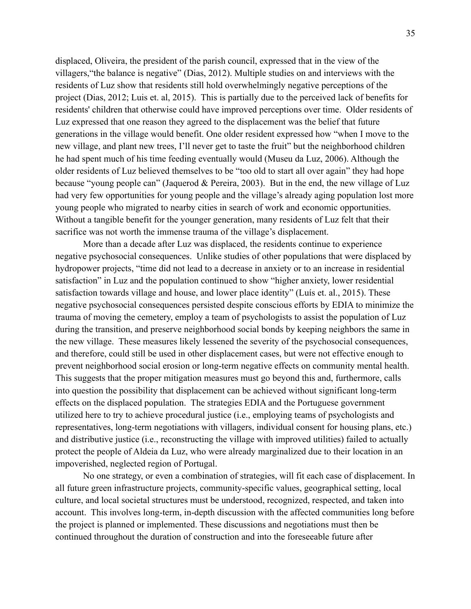displaced, Oliveira, the president of the parish council, expressed that in the view of the villagers,"the balance is negative" (Dias, 2012). Multiple studies on and interviews with the residents of Luz show that residents still hold overwhelmingly negative perceptions of the project (Dias, 2012; Luis et. al, 2015). This is partially due to the perceived lack of benefits for residents' children that otherwise could have improved perceptions over time. Older residents of Luz expressed that one reason they agreed to the displacement was the belief that future generations in the village would benefit. One older resident expressed how "when I move to the new village, and plant new trees, I'll never get to taste the fruit" but the neighborhood children he had spent much of his time feeding eventually would (Museu da Luz, 2006). Although the older residents of Luz believed themselves to be "too old to start all over again" they had hope because "young people can" (Jaquerod & Pereira, 2003). But in the end, the new village of Luz had very few opportunities for young people and the village's already aging population lost more young people who migrated to nearby cities in search of work and economic opportunities. Without a tangible benefit for the younger generation, many residents of Luz felt that their sacrifice was not worth the immense trauma of the village's displacement.

More than a decade after Luz was displaced, the residents continue to experience negative psychosocial consequences. Unlike studies of other populations that were displaced by hydropower projects, "time did not lead to a decrease in anxiety or to an increase in residential satisfaction" in Luz and the population continued to show "higher anxiety, lower residential satisfaction towards village and house, and lower place identity" (Luís et. al., 2015). These negative psychosocial consequences persisted despite conscious efforts by EDIA to minimize the trauma of moving the cemetery, employ a team of psychologists to assist the population of Luz during the transition, and preserve neighborhood social bonds by keeping neighbors the same in the new village. These measures likely lessened the severity of the psychosocial consequences, and therefore, could still be used in other displacement cases, but were not effective enough to prevent neighborhood social erosion or long-term negative effects on community mental health. This suggests that the proper mitigation measures must go beyond this and, furthermore, calls into question the possibility that displacement can be achieved without significant long-term effects on the displaced population. The strategies EDIA and the Portuguese government utilized here to try to achieve procedural justice (i.e., employing teams of psychologists and representatives, long-term negotiations with villagers, individual consent for housing plans, etc.) and distributive justice (i.e., reconstructing the village with improved utilities) failed to actually protect the people of Aldeia da Luz, who were already marginalized due to their location in an impoverished, neglected region of Portugal.

No one strategy, or even a combination of strategies, will fit each case of displacement. In all future green infrastructure projects, community-specific values, geographical setting, local culture, and local societal structures must be understood, recognized, respected, and taken into account. This involves long-term, in-depth discussion with the affected communities long before the project is planned or implemented. These discussions and negotiations must then be continued throughout the duration of construction and into the foreseeable future after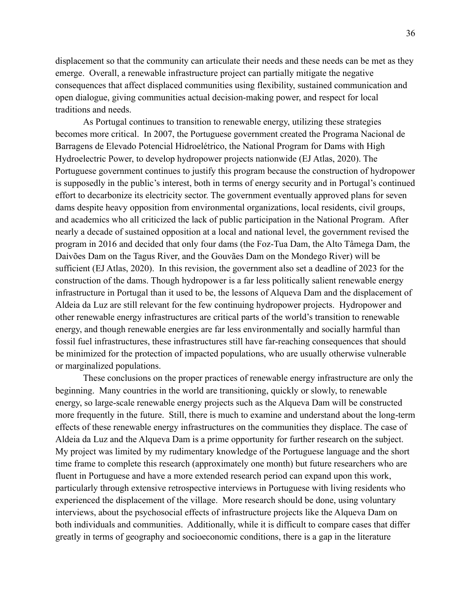displacement so that the community can articulate their needs and these needs can be met as they emerge. Overall, a renewable infrastructure project can partially mitigate the negative consequences that affect displaced communities using flexibility, sustained communication and open dialogue, giving communities actual decision-making power, and respect for local traditions and needs.

As Portugal continues to transition to renewable energy, utilizing these strategies becomes more critical. In 2007, the Portuguese government created the Programa Nacional de Barragens de Elevado Potencial Hidroelétrico, the National Program for Dams with High Hydroelectric Power, to develop hydropower projects nationwide (EJ Atlas, 2020). The Portuguese government continues to justify this program because the construction of hydropower is supposedly in the public's interest, both in terms of energy security and in Portugal's continued effort to decarbonize its electricity sector. The government eventually approved plans for seven dams despite heavy opposition from environmental organizations, local residents, civil groups, and academics who all criticized the lack of public participation in the National Program. After nearly a decade of sustained opposition at a local and national level, the government revised the program in 2016 and decided that only four dams (the Foz-Tua Dam, the Alto Tâmega Dam, the Daivões Dam on the Tagus River, and the Gouvães Dam on the Mondego River) will be sufficient (EJ Atlas, 2020). In this revision, the government also set a deadline of 2023 for the construction of the dams. Though hydropower is a far less politically salient renewable energy infrastructure in Portugal than it used to be, the lessons of Alqueva Dam and the displacement of Aldeia da Luz are still relevant for the few continuing hydropower projects. Hydropower and other renewable energy infrastructures are critical parts of the world's transition to renewable energy, and though renewable energies are far less environmentally and socially harmful than fossil fuel infrastructures, these infrastructures still have far-reaching consequences that should be minimized for the protection of impacted populations, who are usually otherwise vulnerable or marginalized populations.

These conclusions on the proper practices of renewable energy infrastructure are only the beginning. Many countries in the world are transitioning, quickly or slowly, to renewable energy, so large-scale renewable energy projects such as the Alqueva Dam will be constructed more frequently in the future. Still, there is much to examine and understand about the long-term effects of these renewable energy infrastructures on the communities they displace. The case of Aldeia da Luz and the Alqueva Dam is a prime opportunity for further research on the subject. My project was limited by my rudimentary knowledge of the Portuguese language and the short time frame to complete this research (approximately one month) but future researchers who are fluent in Portuguese and have a more extended research period can expand upon this work, particularly through extensive retrospective interviews in Portuguese with living residents who experienced the displacement of the village. More research should be done, using voluntary interviews, about the psychosocial effects of infrastructure projects like the Alqueva Dam on both individuals and communities. Additionally, while it is difficult to compare cases that differ greatly in terms of geography and socioeconomic conditions, there is a gap in the literature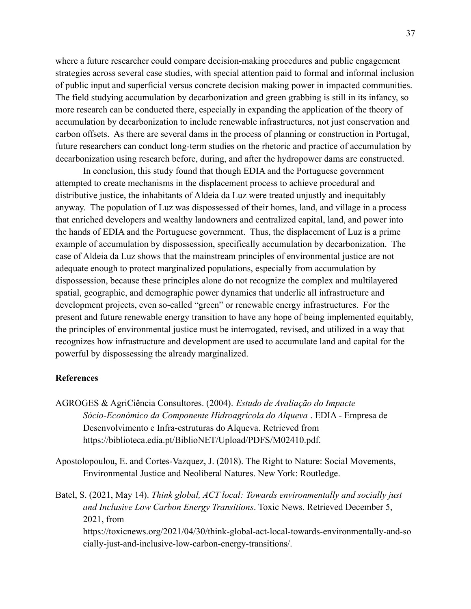where a future researcher could compare decision-making procedures and public engagement strategies across several case studies, with special attention paid to formal and informal inclusion of public input and superficial versus concrete decision making power in impacted communities. The field studying accumulation by decarbonization and green grabbing is still in its infancy, so more research can be conducted there, especially in expanding the application of the theory of accumulation by decarbonization to include renewable infrastructures, not just conservation and carbon offsets. As there are several dams in the process of planning or construction in Portugal, future researchers can conduct long-term studies on the rhetoric and practice of accumulation by decarbonization using research before, during, and after the hydropower dams are constructed.

In conclusion, this study found that though EDIA and the Portuguese government attempted to create mechanisms in the displacement process to achieve procedural and distributive justice, the inhabitants of Aldeia da Luz were treated unjustly and inequitably anyway. The population of Luz was dispossessed of their homes, land, and village in a process that enriched developers and wealthy landowners and centralized capital, land, and power into the hands of EDIA and the Portuguese government. Thus, the displacement of Luz is a prime example of accumulation by dispossession, specifically accumulation by decarbonization. The case of Aldeia da Luz shows that the mainstream principles of environmental justice are not adequate enough to protect marginalized populations, especially from accumulation by dispossession, because these principles alone do not recognize the complex and multilayered spatial, geographic, and demographic power dynamics that underlie all infrastructure and development projects, even so-called "green" or renewable energy infrastructures. For the present and future renewable energy transition to have any hope of being implemented equitably, the principles of environmental justice must be interrogated, revised, and utilized in a way that recognizes how infrastructure and development are used to accumulate land and capital for the powerful by dispossessing the already marginalized.

#### **References**

- AGROGES & AgriCiência Consultores. (2004). *Estudo de Avaliação do Impacte Sócio-Económico da Componente Hidroagrícola do Alqueva* . EDIA - Empresa de Desenvolvimento e Infra-estruturas do Alqueva. Retrieved from https://biblioteca.edia.pt/BiblioNET/Upload/PDFS/M02410.pdf.
- Apostolopoulou, E. and Cortes-Vazquez, J. (2018). The Right to Nature: Social Movements, Environmental Justice and Neoliberal Natures. New York: Routledge.
- Batel, S. (2021, May 14). *Think global, ACT local: Towards environmentally and socially just and Inclusive Low Carbon Energy Transitions*. Toxic News. Retrieved December 5, 2021, from https://toxicnews.org/2021/04/30/think-global-act-local-towards-environmentally-and-so cially-just-and-inclusive-low-carbon-energy-transitions/.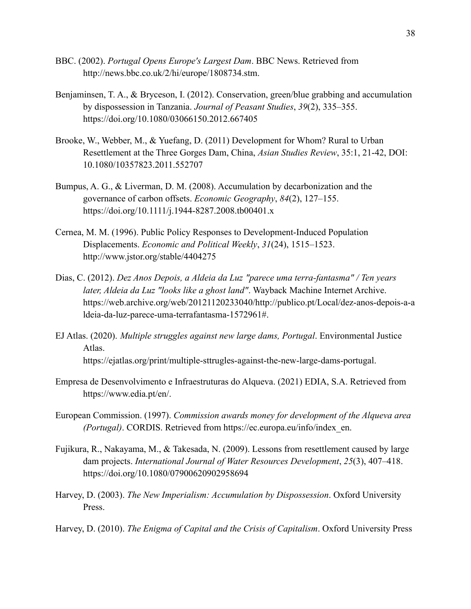- BBC. (2002). *Portugal Opens Europe's Largest Dam*. BBC News. Retrieved from http://news.bbc.co.uk/2/hi/europe/1808734.stm.
- Benjaminsen, T. A., & Bryceson, I. (2012). Conservation, green/blue grabbing and accumulation by dispossession in Tanzania. *Journal of Peasant Studies*, *39*(2), 335–355. https://doi.org/10.1080/03066150.2012.667405
- Brooke, W., Webber, M., & Yuefang, D. (2011) Development for Whom? Rural to Urban Resettlement at the Three Gorges Dam, China, *Asian Studies Review*, 35:1, 21-42, DOI: [10.1080/10357823.2011.552707](https://doi.org/10.1080/10357823.2011.552707)
- Bumpus, A. G., & Liverman, D. M. (2008). Accumulation by decarbonization and the governance of carbon offsets. *Economic Geography*, *84*(2), 127–155. https://doi.org/10.1111/j.1944-8287.2008.tb00401.x
- Cernea, M. M. (1996). Public Policy Responses to Development-Induced Population Displacements. *Economic and Political Weekly*, *31*(24), 1515–1523. http://www.jstor.org/stable/4404275
- Dias, C. (2012). *Dez Anos Depois, a Aldeia da Luz "parece uma terra-fantasma" / Ten years later, Aldeia da Luz "looks like a ghost land"*. Wayback Machine Internet Archive. https://web.archive.org/web/20121120233040/http://publico.pt/Local/dez-anos-depois-a-a ldeia-da-luz-parece-uma-terrafantasma-1572961#.
- EJ Atlas. (2020). *Multiple struggles against new large dams, Portugal*. Environmental Justice Atlas. https://ejatlas.org/print/multiple-sttrugles-against-the-new-large-dams-portugal.
- Empresa de Desenvolvimento e Infraestruturas do Alqueva. (2021) EDIA, S.A. Retrieved from https://www.edia.pt/en/.
- European Commission. (1997). *Commission awards money for development of the Alqueva area (Portugal)*. CORDIS. Retrieved from https://ec.europa.eu/info/index\_en.
- Fujikura, R., Nakayama, M., & Takesada, N. (2009). Lessons from resettlement caused by large dam projects. *International Journal of Water Resources Development*, *25*(3), 407–418. https://doi.org/10.1080/07900620902958694
- Harvey, D. (2003). *The New Imperialism: Accumulation by Dispossession*. Oxford University Press.
- Harvey, D. (2010). *The Enigma of Capital and the Crisis of Capitalism*. Oxford University Press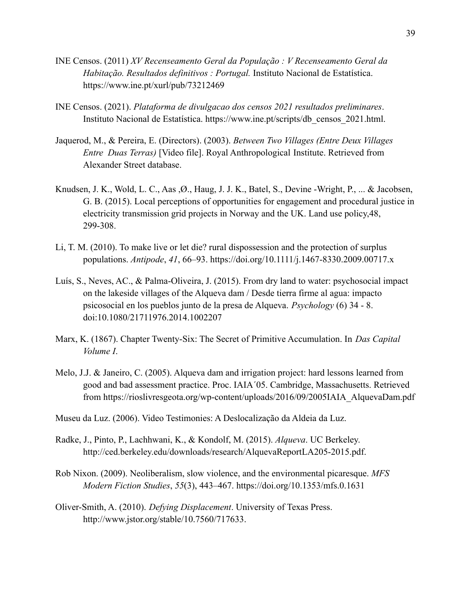- INE Censos. (2011) *XV Recenseamento Geral da População : V Recenseamento Geral da Habitação. Resultados definitivos : Portugal.* Instituto Nacional de Estatística. https://www.ine.pt/xurl/pub/73212469
- INE Censos. (2021). *Plataforma de divulgacao dos censos 2021 resultados preliminares*. Instituto Nacional de Estatística. https://www.ine.pt/scripts/db\_censos\_2021.html.
- Jaquerod, M., & Pereira, E. (Directors). (2003). *Between Two Villages (Entre Deux Villages Entre Duas Terras)* [Video file]. Royal Anthropological Institute. Retrieved from Alexander Street database.
- Knudsen, J. K., Wold, L. C., Aas ,Ø., Haug, J. J. K., Batel, S., Devine -Wright, P., ... & Jacobsen, G. B. (2015). Local perceptions of opportunities for engagement and procedural justice in electricity transmission grid projects in Norway and the UK. Land use policy,48, 299-308.
- Li, T. M. (2010). To make live or let die? rural dispossession and the protection of surplus populations. *Antipode*, *41*, 66–93. https://doi.org/10.1111/j.1467-8330.2009.00717.x
- Luís, S., Neves, AC., & Palma-Oliveira, J. (2015). From dry land to water: psychosocial impact on the lakeside villages of the Alqueva dam / Desde tierra firme al agua: impacto psicosocial en los pueblos junto de la presa de Alqueva. *Psychology* (6) 34 - 8. doi:10.1080/21711976.2014.1002207
- Marx, K. (1867). Chapter Twenty-Six: The Secret of Primitive Accumulation. In *Das Capital Volume I*.
- Melo, J.J. & Janeiro, C. (2005). Alqueva dam and irrigation project: hard lessons learned from good and bad assessment practice. Proc. IAIA´05. Cambridge, Massachusetts. Retrieved from https://rioslivresgeota.org/wp-content/uploads/2016/09/2005IAIA\_AlquevaDam.pdf
- Museu da Luz. (2006). Video Testimonies: A Deslocalização da Aldeia da Luz.
- Radke, J., Pinto, P., Lachhwani, K., & Kondolf, M. (2015). *Alqueva*. UC Berkeley. http://ced.berkeley.edu/downloads/research/AlquevaReportLA205-2015.pdf.
- Rob Nixon. (2009). Neoliberalism, slow violence, and the environmental picaresque. *MFS Modern Fiction Studies*, *55*(3), 443–467. https://doi.org/10.1353/mfs.0.1631
- Oliver-Smith, A. (2010). *Defying Displacement*. University of Texas Press. http://www.jstor.org/stable/10.7560/717633.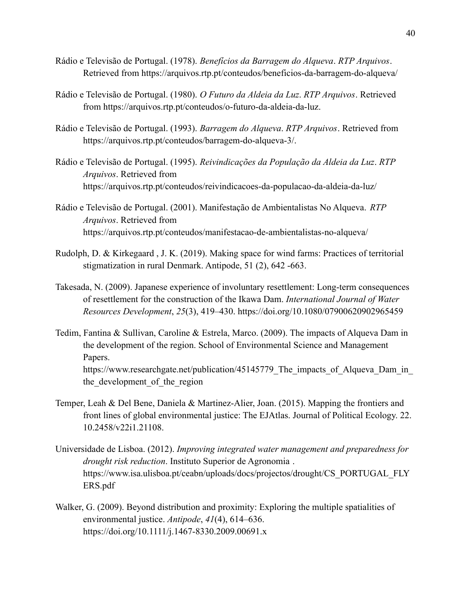- Rádio e Televisão de Portugal. (1978). *Benefícios da Barragem do Alqueva*. *RTP Arquivos*. Retrieved from https://arquivos.rtp.pt/conteudos/beneficios-da-barragem-do-alqueva/
- Rádio e Televisão de Portugal. (1980). *O Futuro da Aldeia da Luz*. *RTP Arquivos*. Retrieved from https://arquivos.rtp.pt/conteudos/o-futuro-da-aldeia-da-luz.
- Rádio e Televisão de Portugal. (1993). *Barragem do Alqueva*. *RTP Arquivos*. Retrieved from https://arquivos.rtp.pt/conteudos/barragem-do-alqueva-3/.
- Rádio e Televisão de Portugal. (1995). *Reivindicações da População da Aldeia da Luz*. *RTP Arquivos*. Retrieved from https://arquivos.rtp.pt/conteudos/reivindicacoes-da-populacao-da-aldeia-da-luz/
- Rádio e Televisão de Portugal. (2001). Manifestação de Ambientalistas No Alqueva. *RTP Arquivos*. Retrieved from https://arquivos.rtp.pt/conteudos/manifestacao-de-ambientalistas-no-alqueva/
- Rudolph, D. & Kirkegaard , J. K. (2019). Making space for wind farms: Practices of territorial stigmatization in rural Denmark. Antipode, 51 (2), 642 -663.
- Takesada, N. (2009). Japanese experience of involuntary resettlement: Long-term consequences of resettlement for the construction of the Ikawa Dam. *International Journal of Water Resources Development*, *25*(3), 419–430. https://doi.org/10.1080/07900620902965459
- Tedim, Fantina & Sullivan, Caroline & Estrela, Marco. (2009). The impacts of Alqueva Dam in the development of the region. School of Environmental Science and Management Papers. https://www.researchgate.net/publication/45145779 The impacts of Alqueva Dam in the development of the region
- Temper, Leah & Del Bene, Daniela & Martinez-Alier, Joan. (2015). Mapping the frontiers and front lines of global environmental justice: The EJAtlas. Journal of Political Ecology. 22. 10.2458/v22i1.21108.
- Universidade de Lisboa. (2012). *Improving integrated water management and preparedness for drought risk reduction*. Instituto Superior de Agronomia . https://www.isa.ulisboa.pt/ceabn/uploads/docs/projectos/drought/CS\_PORTUGAL\_FLY ERS.pdf
- Walker, G. (2009). Beyond distribution and proximity: Exploring the multiple spatialities of environmental justice. *Antipode*, *41*(4), 614–636. https://doi.org/10.1111/j.1467-8330.2009.00691.x